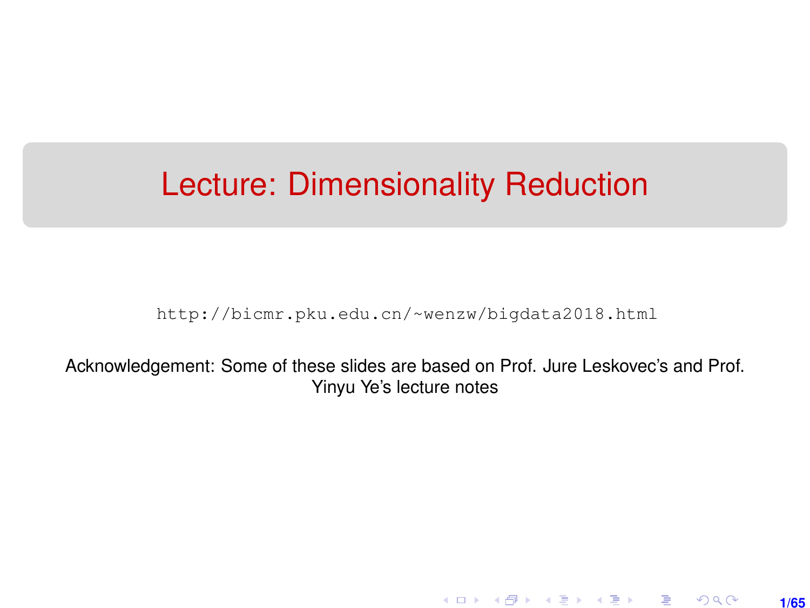## <span id="page-0-0"></span>Lecture: Dimensionality Reduction

[http://bicmr.pku.edu.cn/~wenzw/bigdata2018.html](http://bicmr.pku.edu.cn/~wenzw/bigdata2018.html )

Acknowledgement: Some of these slides are based on Prof. Jure Leskovec's and Prof. Yinyu Ye's lecture notes

> K ロ ▶ K 레 ▶ K 회 ▶ K 회 ▶ │ 회 │ ⊙ Q Q **1/65**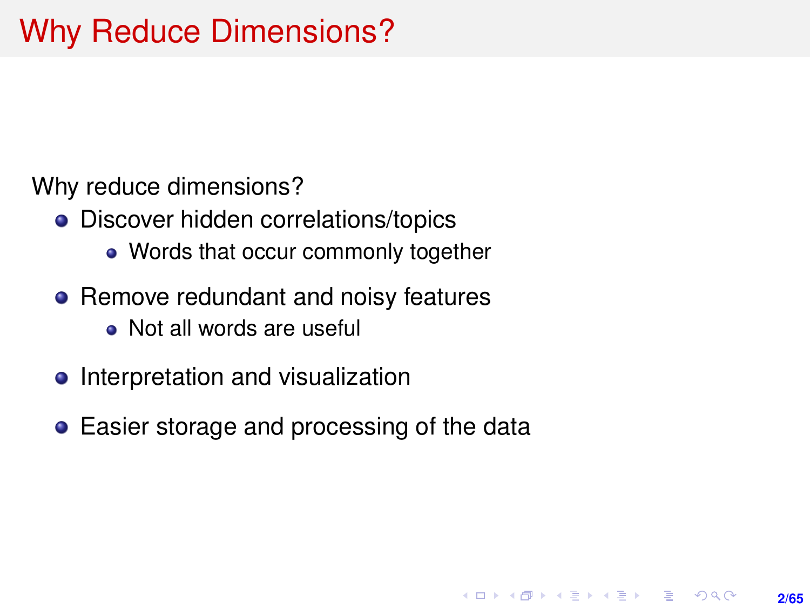Why reduce dimensions?

- Discover hidden correlations/topics
	- Words that occur commonly together
- Remove redundant and noisy features
	- Not all words are useful
- Interpretation and visualization
- Easier storage and processing of the data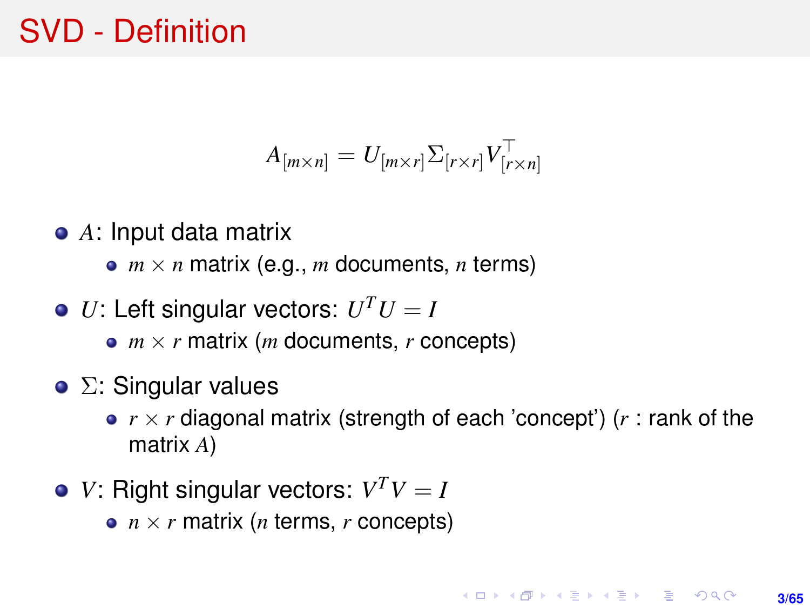## SVD - Definition

$$
A_{[m \times n]} = U_{[m \times r]} \Sigma_{[r \times r]} V_{[r \times n]}^{\top}
$$

- *A*: Input data matrix
	- $m \times n$  matrix (e.g., *m* documents, *n* terms)
- *U*: Left singular vectors:  $U^T U = I$ 
	- $m \times r$  matrix (*m* documents, *r* concepts)
- $\bullet$  Σ: Singular values
	- $r \times r$  diagonal matrix (strength of each 'concept') ( $r$  : rank of the matrix *A*)
- *V*: Right singular vectors:  $V^T V = I$ 
	- $n \times r$  matrix (*n* terms, *r* concepts)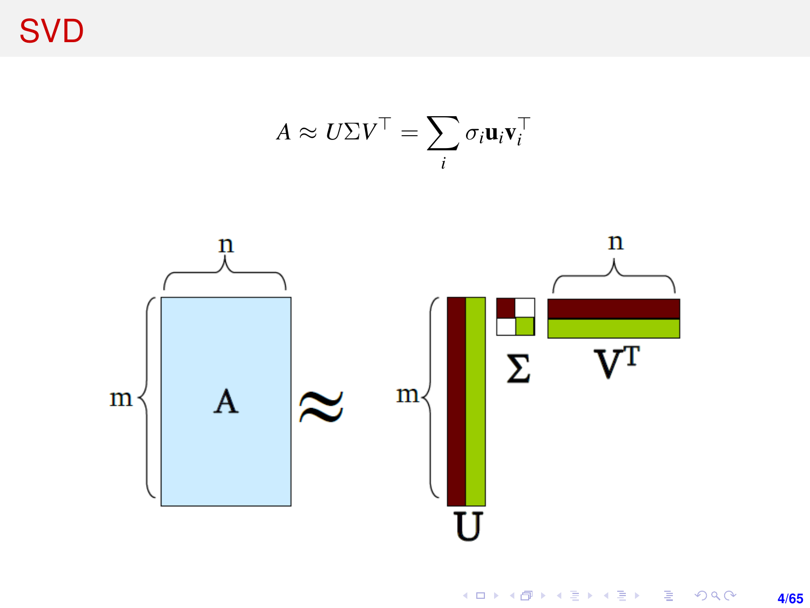**SVD** 

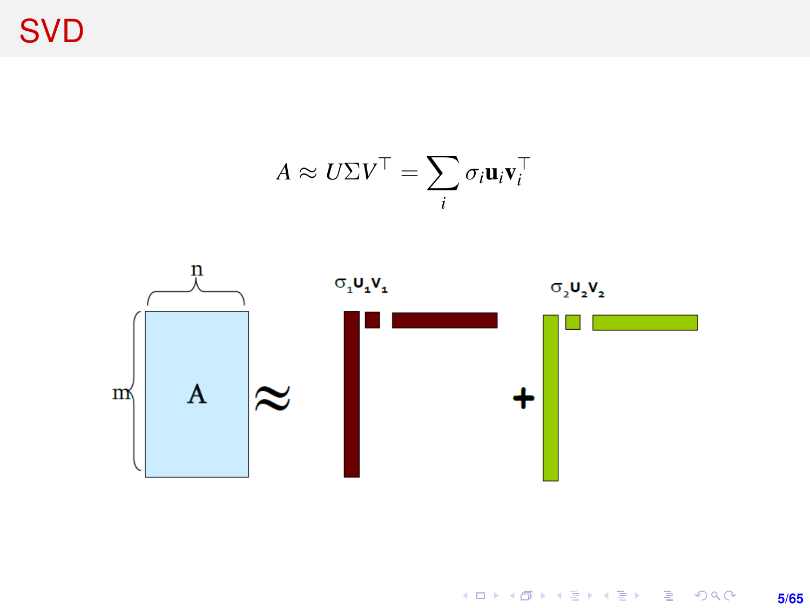**SVD** 

$$
A \approx U\Sigma V^{\top} = \sum_{i} \sigma_{i} \mathbf{u}_{i} \mathbf{v}_{i}^{\top}
$$

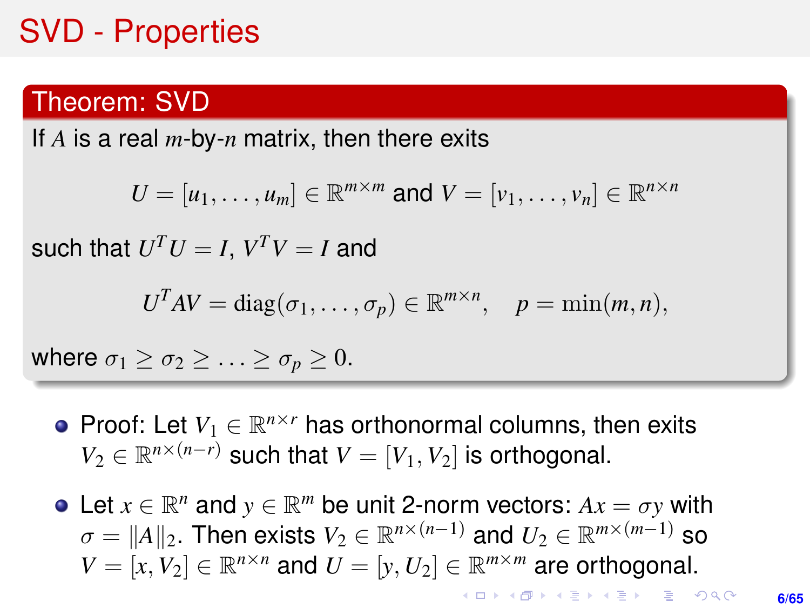## SVD - Properties

#### Theorem: SVD

If *A* is a real *m*-by-*n* matrix, then there exits

$$
U = [u_1, \ldots, u_m] \in \mathbb{R}^{m \times m} \text{ and } V = [v_1, \ldots, v_n] \in \mathbb{R}^{n \times n}
$$

such that  $U^TU=I, \, V^TV=I$  and

$$
UTAV = diag(\sigma_1, ..., \sigma_p) \in \mathbb{R}^{m \times n}, \quad p = \min(m, n),
$$

where  $\sigma_1 \geq \sigma_2 \geq \ldots \geq \sigma_p \geq 0$ .

- Proof: Let  $V_1 \in \mathbb{R}^{n \times r}$  has orthonormal columns, then exits  $V_2 \in \mathbb{R}^{n \times (n-r)}$  such that  $V = [V_1, V_2]$  is orthogonal.
- Let  $x \in \mathbb{R}^n$  and  $y \in \mathbb{R}^m$  be unit 2-norm vectors:  $Ax = \sigma y$  with  $\sigma = \|A\|_2.$  Then exists  $V_2 \in \mathbb{R}^{n \times (n-1)}$  and  $U_2 \in \mathbb{R}^{m \times (m-1)}$  so  $V = [x, V_2] \in \mathbb{R}^{n \times n}$  and  $U = [y, U_2] \in \mathbb{R}^{m \times m}$  are orthogonal. **KORKARK (EXIST) E MOOR**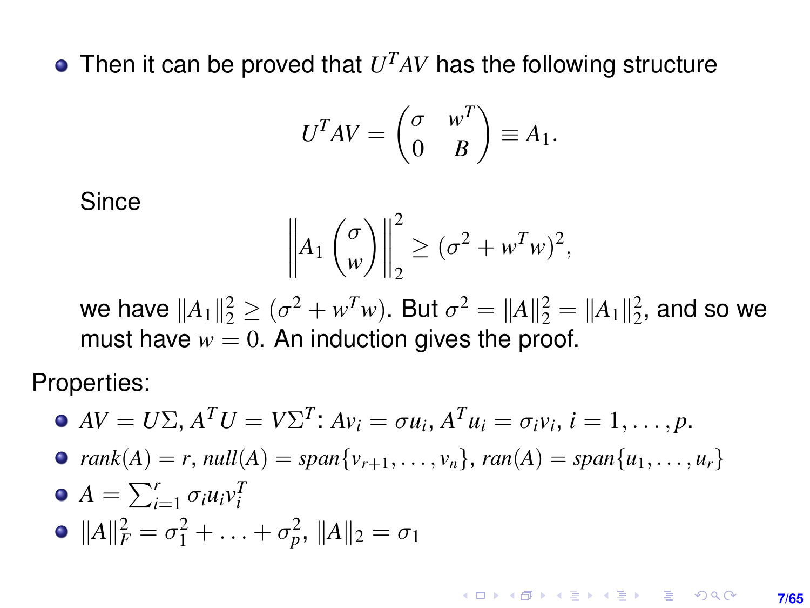Then it can be proved that  $U<sup>T</sup>AV$  has the following structure

$$
U^T A V = \begin{pmatrix} \sigma & w^T \\ 0 & B \end{pmatrix} \equiv A_1.
$$

**Since** 

$$
\left\| A_1 \begin{pmatrix} \sigma \\ w \end{pmatrix} \right\|_2^2 \geq (\sigma^2 + w^T w)^2,
$$

we have  $||A_1||_2^2 \ge (\sigma^2 + w^T w)$ . But  $\sigma^2 = ||A||_2^2 = ||A_1||_2^2$ , and so we must have  $w = 0$ . An induction gives the proof.

Properties:

\n- \n
$$
AV = U\Sigma, A^T U = V\Sigma^T: Av_i = \sigma u_i, A^T u_i = \sigma_i v_i, i = 1, \ldots, p.
$$
\n
\n- \n
$$
rank(A) = r, null(A) = span\{v_{r+1}, \ldots, v_n\}, ran(A) = span\{u_1, \ldots, u_r\}
$$
\n
\n- \n
$$
A = \sum_{i=1}^r \sigma_i u_i v_i^T
$$
\n
\n- \n
$$
||A||_F^2 = \sigma_1^2 + \ldots + \sigma_p^2, ||A||_2 = \sigma_1
$$
\n
\n

**KOD KAD KED KED E YOUR 7/65**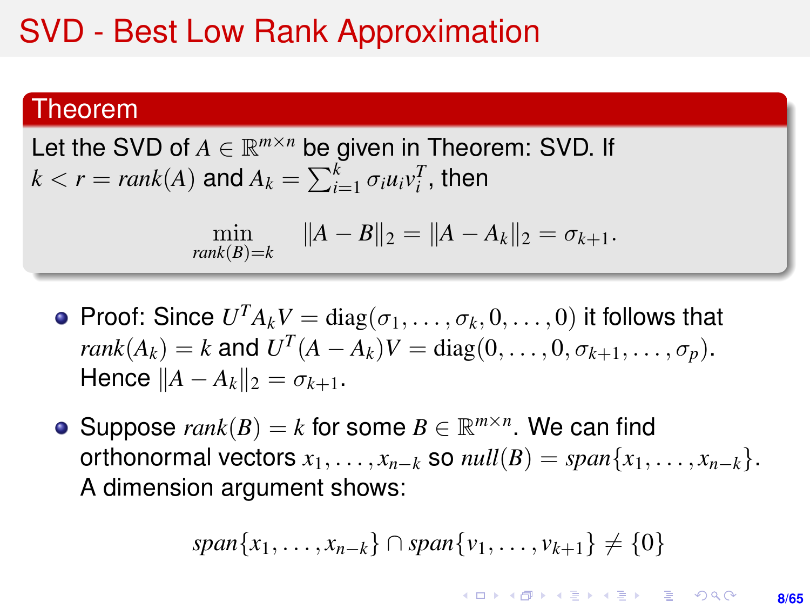## SVD - Best Low Rank Approximation

#### Theorem

Let the SVD of  $A \in \mathbb{R}^{m \times n}$  be given in Theorem: SVD. If  $k < r = rank(A)$  and  $A_k = \sum_{i=1}^k \sigma_i u_i v_i^T$ , then

$$
\min_{rank(B)=k} \|A-B\|_2 = \|A-A_k\|_2 = \sigma_{k+1}.
$$

- Proof: Since  $U^T A_k V = \text{diag}(\sigma_1, \ldots, \sigma_k, 0, \ldots, 0)$  it follows that *rank*(*A*<sub>*k*</sub>) = *k* and  $U^{T}(A - A_{k})V = \text{diag}(0, ..., 0, \sigma_{k+1}, ..., \sigma_{p}).$  $Hence ||A - A_k||_2 = \sigma_{k+1}$ .
- Suppose  $rank(B) = k$  for some  $B \in \mathbb{R}^{m \times n}$ . We can find orthonormal vectors  $x_1, \ldots, x_{n-k}$  so  $null(B) = span\{x_1, \ldots, x_{n-k}\}.$ A dimension argument shows:

$$
span{x_1,\ldots,x_{n-k}}\cap span{v_1,\ldots,v_{k+1}} \neq \{0\}
$$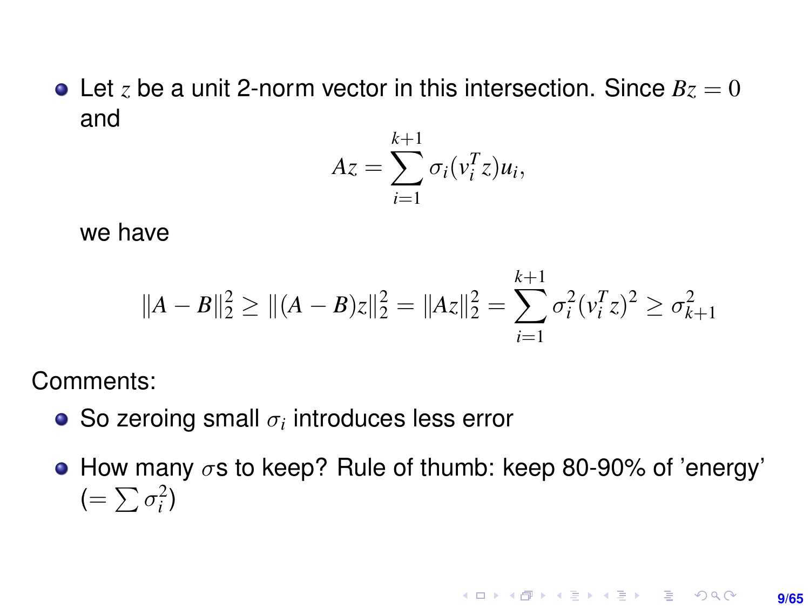• Let *z* be a unit 2-norm vector in this intersection. Since  $Bz = 0$ and

$$
Az = \sum_{i=1}^{k+1} \sigma_i(v_i^T z) u_i,
$$

we have

$$
||A - B||_2^2 \ge ||(A - B)z||_2^2 = ||Az||_2^2 = \sum_{i=1}^{k+1} \sigma_i^2 (v_i^T z)^2 \ge \sigma_{k+1}^2
$$

Comments:

- So zeroing small  $\sigma_i$  introduces less error
- How many  $\sigma s$  to keep? Rule of thumb: keep 80-90% of 'energy'  $(=\sum \sigma_i^2)$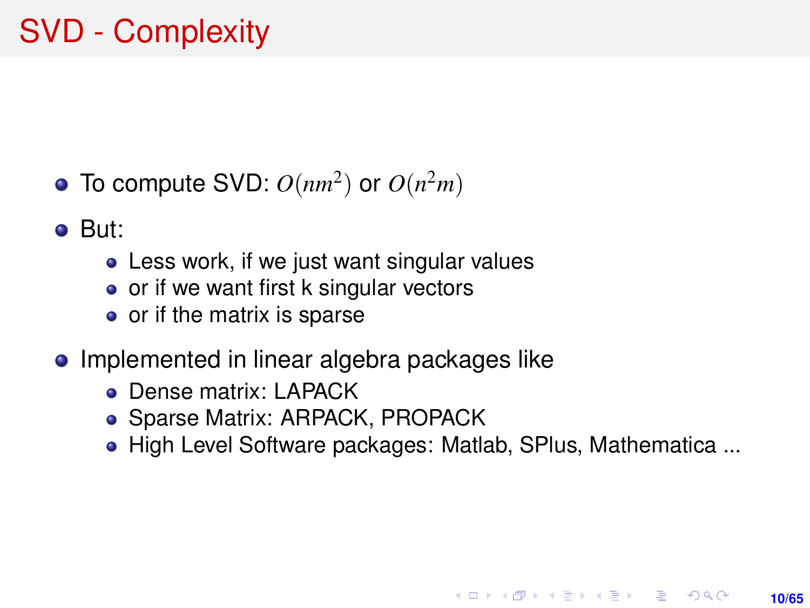## SVD - Complexity

- To compute SVD:  $O(nm^2)$  or  $O(n^2m)$
- But:
	- Less work, if we just want singular values
	- or if we want first k singular vectors
	- or if the matrix is sparse
- Implemented in linear algebra packages like
	- **o** Dense matrix: LAPACK
	- Sparse Matrix: ARPACK, PROPACK
	- High Level Software packages: Matlab, SPlus, Mathematica ...

**10/65**

**KORKARK A BIK BIKA A GA A GA A GA A BIKA A BIKA A BIKA A BIKA A BIKA A BIKA A BIKA A BIKA A BIKA A BIKA A BIKA**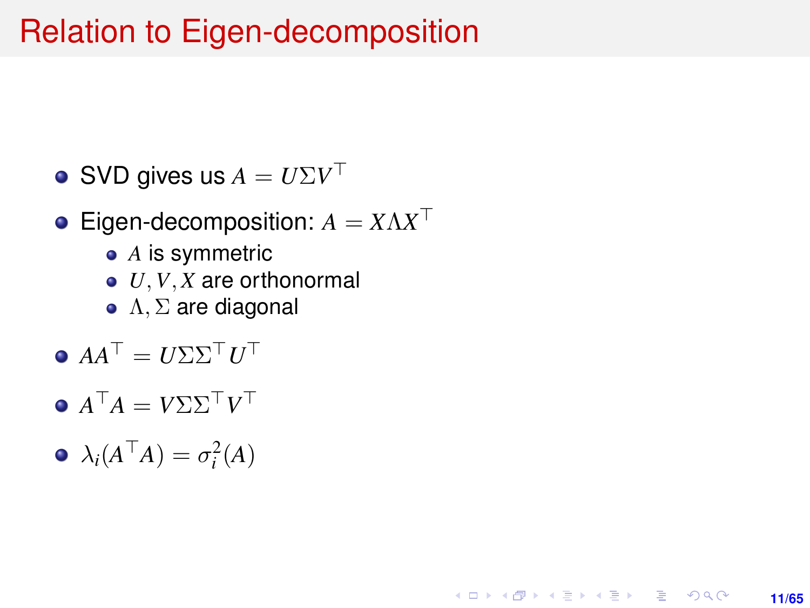#### Relation to Eigen-decomposition

SVD gives us  $A = U \Sigma V^\top$ 

#### Eigen-decomposition:  $A = X \Lambda X^{\top}$

- *A* is symmetric
- *U*, *V*, *X* are orthonormal

**11/65**

KORK ERKER ERKER

- $Λ, Σ$  are diagonal
- $AA^{\top} = U\Sigma\Sigma^{\top}U^{\top}$
- $A^{\top}A = V\Sigma\Sigma^{\top}V^{\top}$
- $\lambda_i(A^{\top}A) = \sigma_i^2(A)$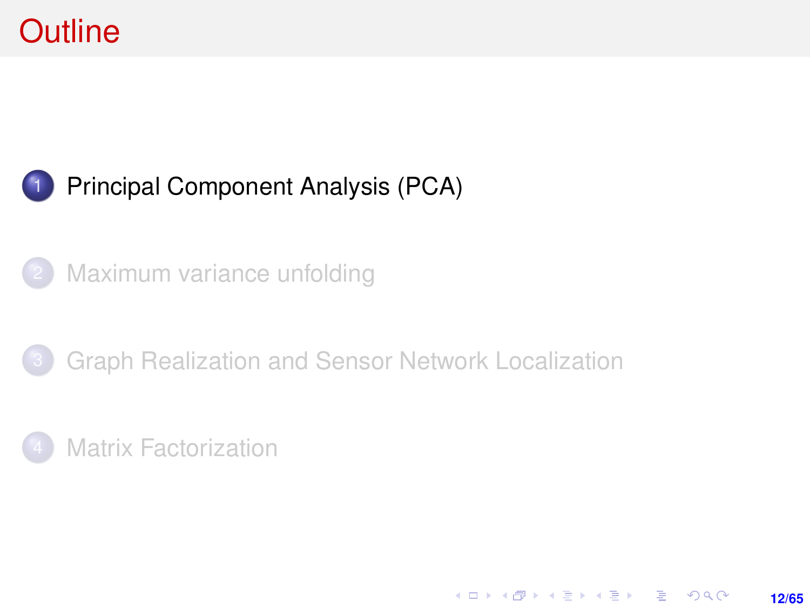## <span id="page-11-0"></span>**Outline**

#### [Principal Component Analysis \(PCA\)](#page-11-0)

- [Maximum variance unfolding](#page-23-0)
- [Graph Realization and Sensor Network Localization](#page-39-0)

**12/65**

K ロ ▶ K @ ▶ K 할 ▶ K 할 ▶ ... 할 → 9 Q @

**[Matrix Factorization](#page-46-0)**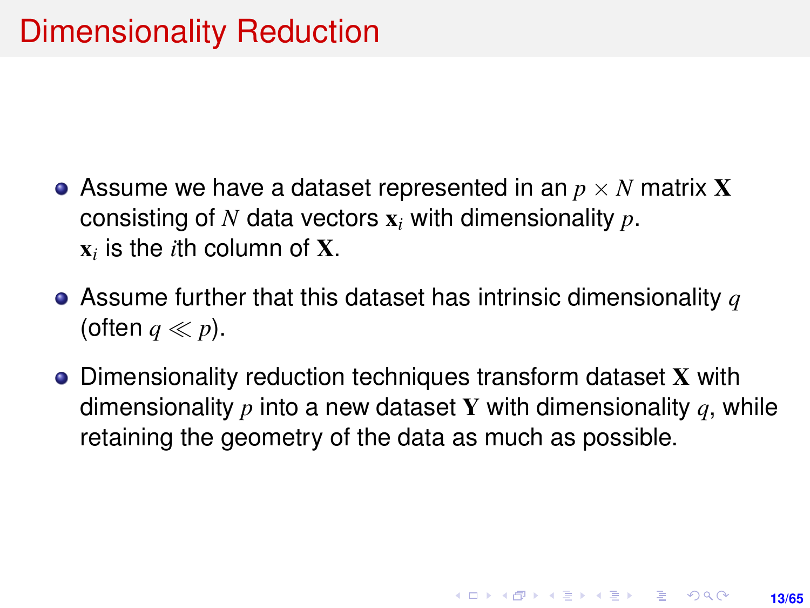- Assume we have a dataset represented in an  $p \times N$  matrix **X** consisting of *N* data vectors x*<sup>i</sup>* with dimensionality *p*.  $\mathbf{x}_i$  is the *i*th column of **X**.
- Assume further that this dataset has intrinsic dimensionality *q* (often  $q \ll p$ ).
- Dimensionality reduction techniques transform dataset X with dimensionality *p* into a new dataset Y with dimensionality *q*, while retaining the geometry of the data as much as possible.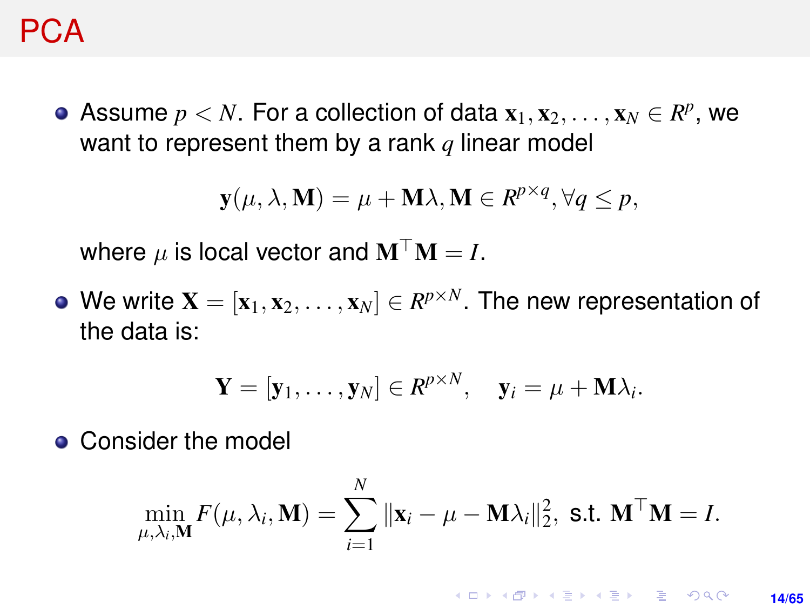#### PCA

Assume  $p < N$ . For a collection of data  $\mathbf{x}_1, \mathbf{x}_2, \ldots, \mathbf{x}_N \in R^p$ , we want to represent them by a rank *q* linear model

$$
\mathbf{y}(\mu, \lambda, \mathbf{M}) = \mu + \mathbf{M}\lambda, \mathbf{M} \in R^{p \times q}, \forall q \le p,
$$

where  $\mu$  is local vector and  $M^{\top}M = I$ .

We write  $\mathbf{X} = [\mathbf{x}_1, \mathbf{x}_2, \dots, \mathbf{x}_N] \in R^{p \times N}$ . The new representation of the data is:

$$
\mathbf{Y} = [\mathbf{y}_1, \dots, \mathbf{y}_N] \in R^{p \times N}, \quad \mathbf{y}_i = \mu + \mathbf{M} \lambda_i.
$$

• Consider the model

$$
\min_{\mu, \lambda_i, \mathbf{M}} F(\mu, \lambda_i, \mathbf{M}) = \sum_{i=1}^N \|\mathbf{x}_i - \mu - \mathbf{M}\lambda_i\|_2^2, \text{ s.t. } \mathbf{M}^\top \mathbf{M} = I.
$$

**KORKARK KERKER DRAM 14/65**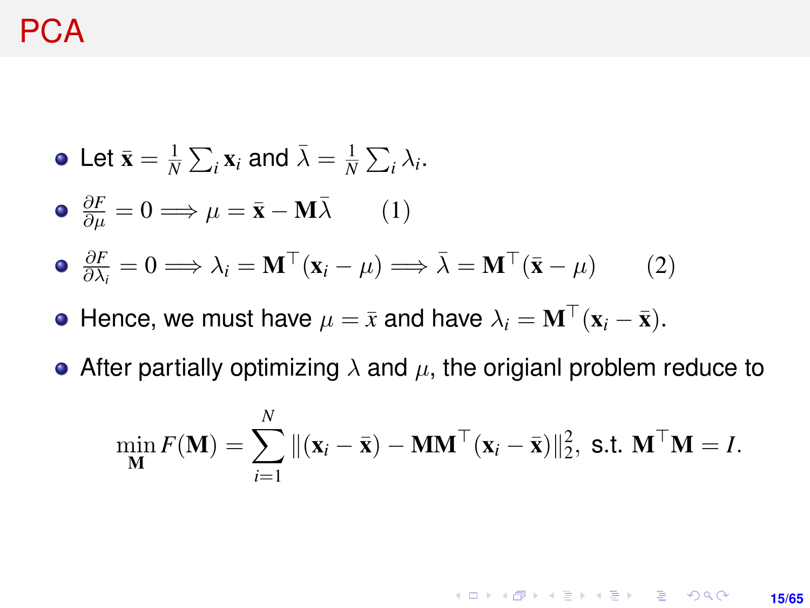#### PCA

\n- \n
$$
\text{Let } \bar{\mathbf{x}} = \frac{1}{N} \sum_{i} \mathbf{x}_{i} \text{ and } \bar{\lambda} = \frac{1}{N} \sum_{i} \lambda_{i}.
$$
\n
\n- \n
$$
\frac{\partial F}{\partial \mu} = 0 \Longrightarrow \mu = \bar{\mathbf{x}} - \mathbf{M} \bar{\lambda} \qquad (1)
$$
\n
\n- \n
$$
\frac{\partial F}{\partial \lambda_{i}} = 0 \Longrightarrow \lambda_{i} = \mathbf{M}^{\top} (\mathbf{x}_{i} - \mu) \Longrightarrow \bar{\lambda} = \mathbf{M}^{\top} (\bar{\mathbf{x}} - \mu) \qquad (2)
$$
\n
\n

- $\bullet$  Hence, we must have  $\mu = \bar{x}$  and have  $\lambda_i = \mathbf{M}^\top(\mathbf{x}_i \bar{\mathbf{x}})$ .
- After partially optimizing  $\lambda$  and  $\mu$ , the origianl problem reduce to

$$
\min_{\mathbf{M}} F(\mathbf{M}) = \sum_{i=1}^{N} ||(\mathbf{x}_i - \bar{\mathbf{x}}) - \mathbf{M}\mathbf{M}^\top(\mathbf{x}_i - \bar{\mathbf{x}})||_2^2, \text{ s.t. } \mathbf{M}^\top \mathbf{M} = I.
$$

**KORKARK KERKER DRAM** 

**15/65**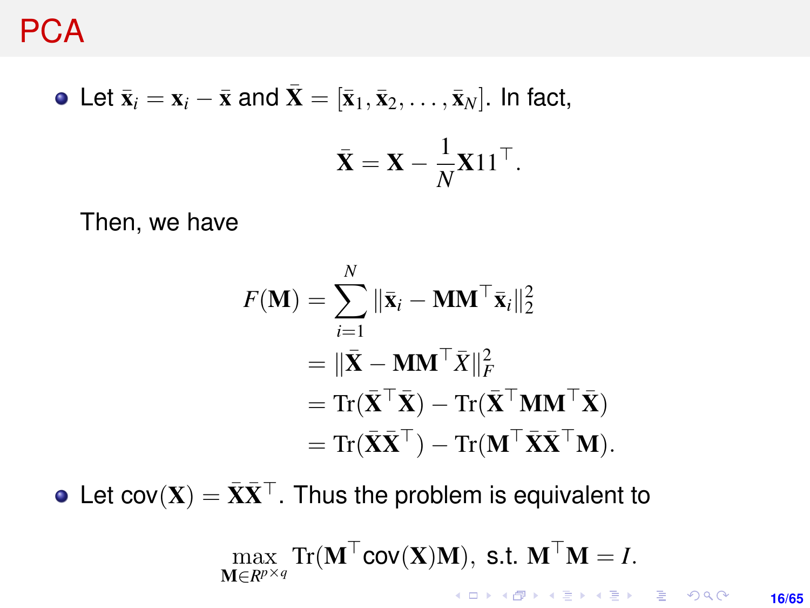• Let 
$$
\bar{\mathbf{x}}_i = \mathbf{x}_i - \bar{\mathbf{x}}
$$
 and  $\bar{\mathbf{X}} = [\bar{\mathbf{x}}_1, \bar{\mathbf{x}}_2, \dots, \bar{\mathbf{x}}_N]$ . In fact,  
\n
$$
\bar{\mathbf{X}} = \mathbf{X} - \frac{1}{N} \mathbf{X} \mathbf{1} \mathbf{1}^\top.
$$

Then, we have

$$
F(\mathbf{M}) = \sum_{i=1}^{N} ||\bar{\mathbf{x}}_i - \mathbf{M}\mathbf{M}^\top \bar{\mathbf{x}}_i||_2^2
$$
  
=  $||\bar{\mathbf{X}} - \mathbf{M}\mathbf{M}^\top \bar{\mathbf{X}}||_F^2$   
=  $\text{Tr}(\bar{\mathbf{X}}^\top \bar{\mathbf{X}}) - \text{Tr}(\bar{\mathbf{X}}^\top \mathbf{M}\mathbf{M}^\top \bar{\mathbf{X}})$   
=  $\text{Tr}(\bar{\mathbf{X}}\bar{\mathbf{X}}^\top) - \text{Tr}(\mathbf{M}^\top \bar{\mathbf{X}}\bar{\mathbf{X}}^\top \mathbf{M}).$ 

• Let cov $(X) = \bar{X}\bar{X}^{\top}$ . Thus the problem is equivalent to

$$
\max_{\mathbf{M}\in R^{p\times q}} \text{Tr}(\mathbf{M}^{\top}\text{cov}(\mathbf{X})\mathbf{M}), \text{ s.t. } \mathbf{M}^{\top}\mathbf{M}=I.
$$

**16/65**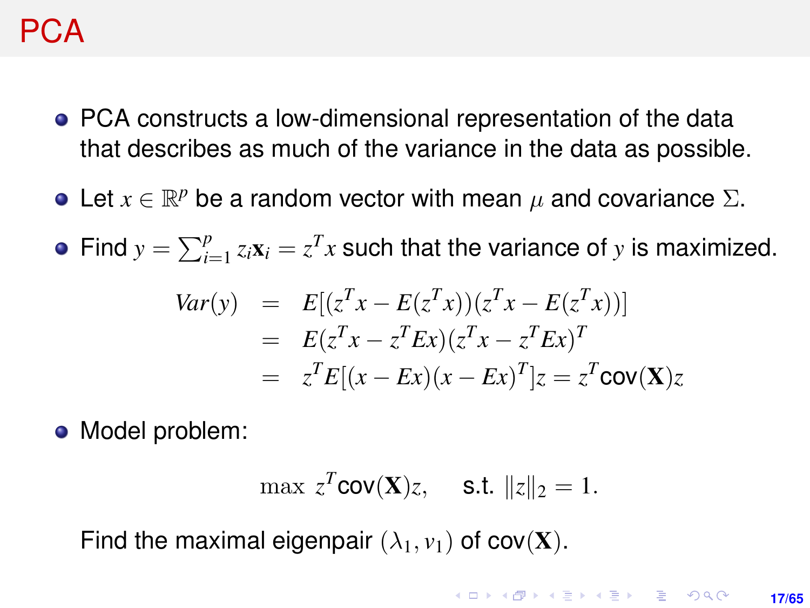#### PCA

- PCA constructs a low-dimensional representation of the data that describes as much of the variance in the data as possible.
- Let  $x \in \mathbb{R}^p$  be a random vector with mean  $\mu$  and covariance  $\Sigma$ .

Find  $y = \sum_{i=1}^{p} z_i \mathbf{x}_i = z^T x$  such that the variance of *y* is maximized.

$$
Var(y) = E[(zTx - E(zTx))(zTx - E(zTx))]
$$
  
=  $E(zTx - zTEx)(zTx - zTEx)T$   
=  $zTE[(x - Ex)(x - Ex)T]$  $z = zTcov(X)z$ 

• Model problem:

$$
\max z^T \text{cov}(\mathbf{X})z, \quad \text{s.t. } \|z\|_2 = 1.
$$

Find the maximal eigenpair  $(\lambda_1, \nu_1)$  of cov(**X**).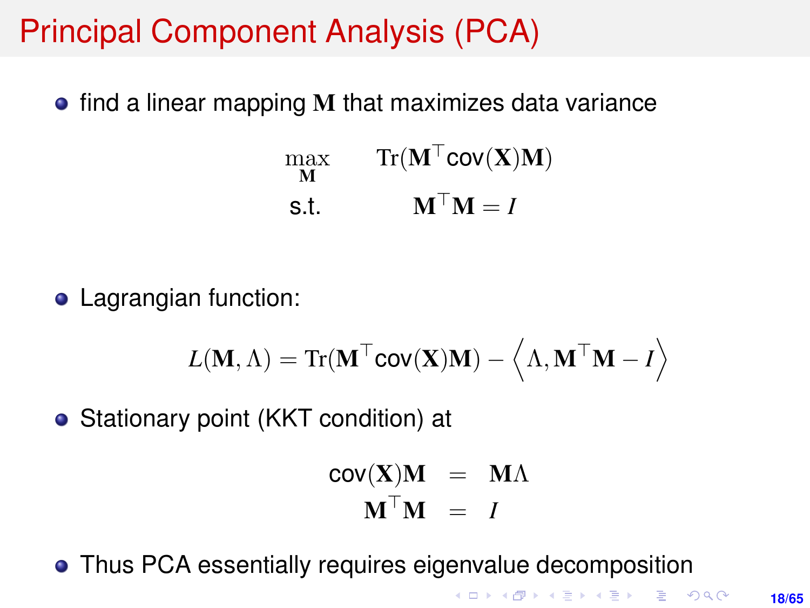## Principal Component Analysis (PCA)

 $\bullet$  find a linear mapping M that maximizes data variance

$$
\begin{array}{ll}\n\max_{\mathbf{M}} & \operatorname{Tr}(\mathbf{M}^{\top} \mathbf{C}\mathbf{O}\mathbf{V}(\mathbf{X})\mathbf{M}) \\
\text{s.t.} & \mathbf{M}^{\top}\mathbf{M} = I\n\end{array}
$$

**•** Lagrangian function:

$$
L(\mathbf{M}, \Lambda) = \text{Tr}(\mathbf{M}^{\top}\text{cov}(\mathbf{X})\mathbf{M}) - \left\langle \Lambda, \mathbf{M}^{\top}\mathbf{M} - I \right\rangle
$$

• Stationary point (KKT condition) at

$$
cov(\mathbf{X})\mathbf{M} = \mathbf{M}\Lambda
$$

$$
\mathbf{M}^{\top}\mathbf{M} = I
$$

Thus PCA essentially requires eigenvalue decomposition

KOD KAP KED KED E VOQO **18/65**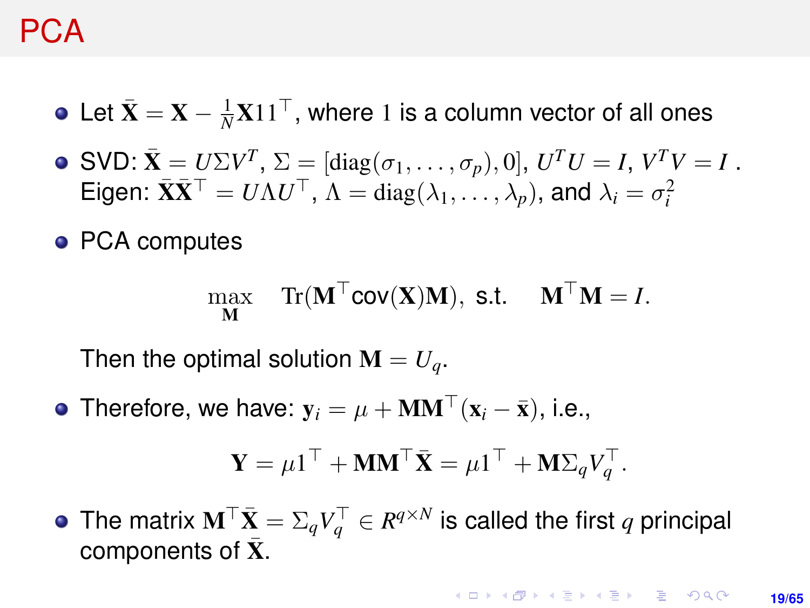#### PCA

- Let  $\bar{\mathbf{X}} = \mathbf{X} \frac{1}{N} \mathbf{X} 11^\top$ , where 1 is a column vector of all ones
- SVD:  $\bar{\mathbf{X}} = U\Sigma V^T$ ,  $\Sigma = [\text{diag}(\sigma_1, \dots, \sigma_p), 0]$ ,  $U^T U = I$ ,  $V^T V = I$ . Eigen:  $\bar{\mathbf{X}}\bar{\mathbf{X}}^{\top} = U\Lambda U^{\top}$ ,  $\Lambda = \text{diag}(\lambda_1, \ldots, \lambda_p)$ , and  $\lambda_i = \sigma_i^2$
- PCA computes

$$
\max_{\mathbf{M}} \quad \text{Tr}(\mathbf{M}^{\top} \text{cov}(\mathbf{X}) \mathbf{M}), \text{ s.t. } \quad \mathbf{M}^{\top} \mathbf{M} = I.
$$

Then the optimal solution  $\mathbf{M} = U_a$ .

• Therefore, we have:  $y_i = \mu + MM^\top (x_i - \bar{x})$ , i.e.,

$$
\mathbf{Y} = \mu \mathbf{1}^\top + \mathbf{M} \mathbf{M}^\top \bar{\mathbf{X}} = \mu \mathbf{1}^\top + \mathbf{M} \Sigma_q V_q^\top.
$$

The matrix  $\mathbf{M}^\top \bar{\mathbf{X}} = \Sigma_q V_q^\top \in R^{q \times N}$  is called the first  $q$  principal components of  $X$ .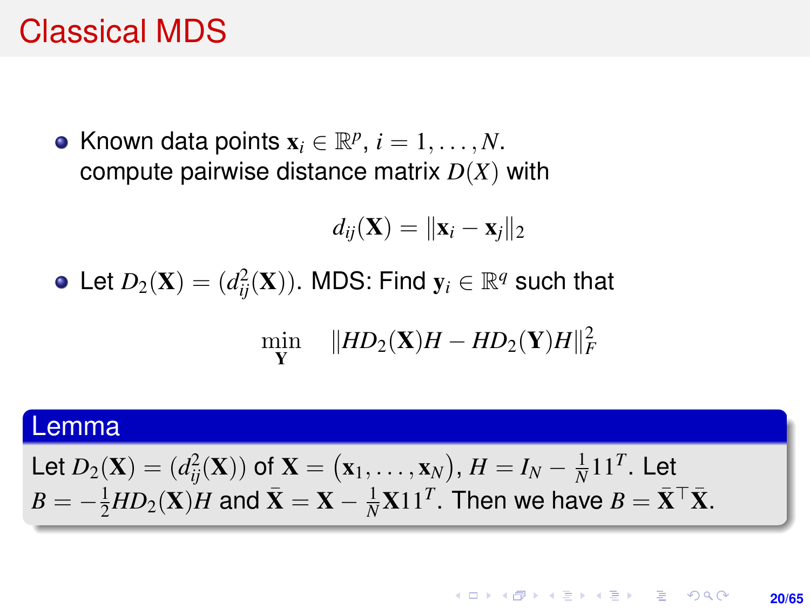#### Classical MDS

Known data points  $\mathbf{x}_i \in \mathbb{R}^p$ ,  $i = 1, \ldots, N$ . compute pairwise distance matrix *D*(*X*) with

$$
d_{ij}(\mathbf{X}) = \|\mathbf{x}_i - \mathbf{x}_j\|_2
$$

Let  $D_2(\mathbf{X}) = (d_{ij}^2(\mathbf{X}))$ . MDS: Find  $\mathbf{y}_i \in \mathbb{R}^q$  such that

$$
\min_{\mathbf{Y}} \quad \|HD_2(\mathbf{X})H - HD_2(\mathbf{Y})H\|_F^2
$$

#### Lemma

Let 
$$
D_2(\mathbf{X}) = (d_{ij}^2(\mathbf{X}))
$$
 of  $\mathbf{X} = (\mathbf{x}_1, ..., \mathbf{x}_N)$ ,  $H = I_N - \frac{1}{N} \mathbf{1} \mathbf{1}^T$ . Let  $B = -\frac{1}{2} H D_2(\mathbf{X}) H$  and  $\bar{\mathbf{X}} = \mathbf{X} - \frac{1}{N} \mathbf{X} \mathbf{1} \mathbf{1}^T$ . Then we have  $B = \bar{\mathbf{X}}^\top \bar{\mathbf{X}}$ .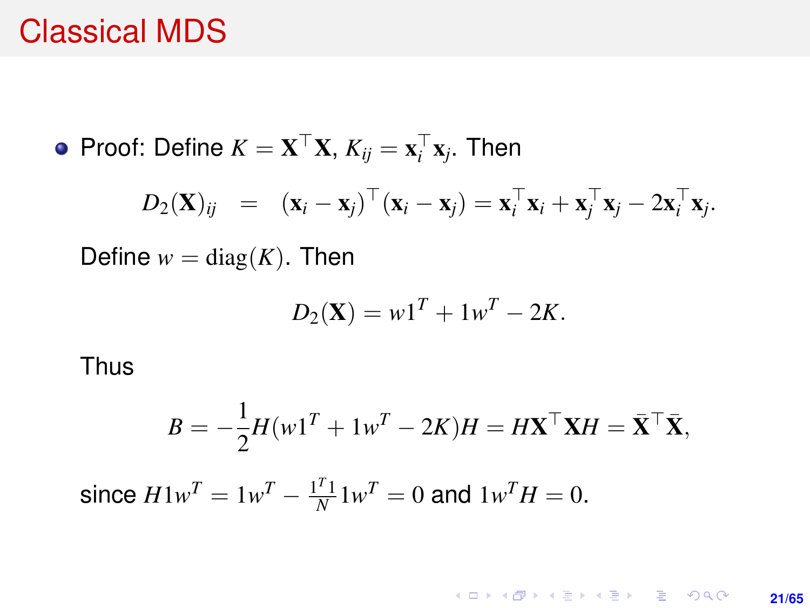#### Classical MDS

Proof: Define  $K = \mathbf{X}^\top \mathbf{X}$ ,  $K_{ij} = \mathbf{x}_i^\top \mathbf{x}_j$ . Then

$$
D_2(\mathbf{X})_{ij} = (\mathbf{x}_i - \mathbf{x}_j)^{\top} (\mathbf{x}_i - \mathbf{x}_j) = \mathbf{x}_i^{\top} \mathbf{x}_i + \mathbf{x}_j^{\top} \mathbf{x}_j - 2 \mathbf{x}_i^{\top} \mathbf{x}_j.
$$

Define  $w = diag(K)$ . Then

$$
D_2(\mathbf{X}) = w\mathbf{1}^T + 1w^T - 2K.
$$

Thus

$$
B = -\frac{1}{2}H(w1^T + 1w^T - 2K)H = H\mathbf{X}^\top \mathbf{X}H = \bar{\mathbf{X}}^\top \bar{\mathbf{X}},
$$

since  $H1w^T = 1w^T - \frac{1^T1}{N}1w^T = 0$  and  $1w^T H = 0$ .

KO KK@ KK 4 B KK B K 1940 **21/65**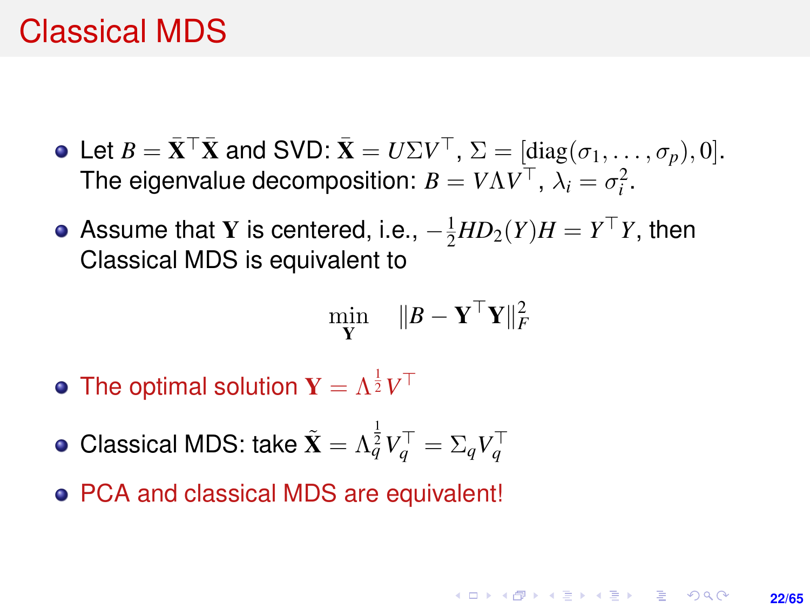#### <span id="page-21-0"></span>Classical MDS

- Let  $B = \bar{\mathbf{X}}^{\top} \bar{\mathbf{X}}$  and SVD:  $\bar{\mathbf{X}} = U \Sigma V^{\top}$ ,  $\Sigma = [\text{diag}(\sigma_1, \ldots, \sigma_p), 0].$ The eigenvalue decomposition:  $B = V \Lambda V^{\top}$ ,  $\lambda_i = \sigma_i^2$ .
- Assume that Y is centered, i.e.,  $-\frac{1}{2}HD_2(Y)H = Y^{\top}Y$ , then Classical MDS is equivalent to

$$
\min_{\mathbf{Y}} \quad \| \boldsymbol{B} - \mathbf{Y}^\top \mathbf{Y} \|_F^2
$$

- The optimal solution  $\mathbf{Y} = \Lambda^{\frac{1}{2}} V^\top$
- Classical MDS: take  $\tilde{\textbf{X}} = \Lambda_q^{\frac{1}{2}} V_q^{\top} = \Sigma_q V_q^{\top}$
- PCA and classical MDS are equivalent!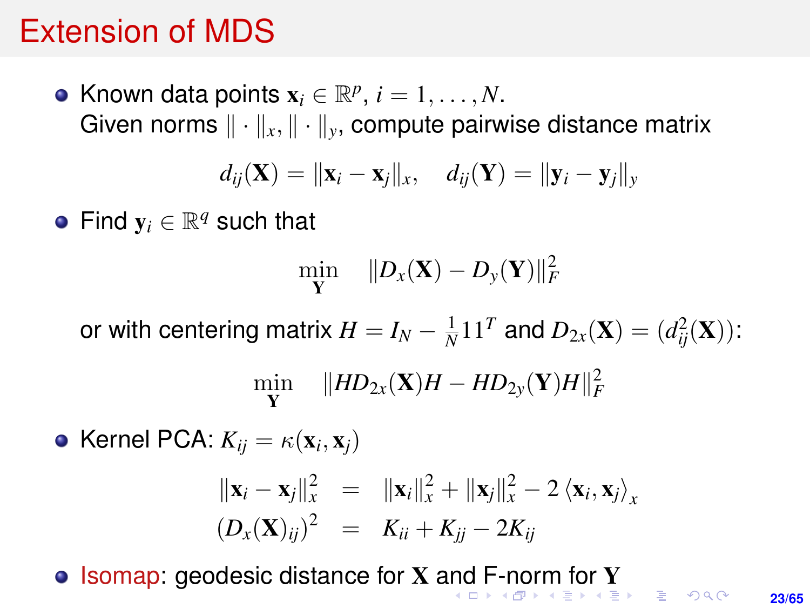#### <span id="page-22-0"></span>Extension of MDS

Known data points  $\mathbf{x}_i \in \mathbb{R}^p$ ,  $i = 1, \ldots, N$ . Given norms  $\|\cdot\|_x, \|\cdot\|_y$ , compute pairwise distance matrix

$$
d_{ij}(\mathbf{X}) = \|\mathbf{x}_i - \mathbf{x}_j\|_{x}, \quad d_{ij}(\mathbf{Y}) = \|\mathbf{y}_i - \mathbf{y}_j\|_{y}
$$

Find  $y_i \in \mathbb{R}^q$  such that

$$
\min_{\mathbf{Y}} \quad \|D_{\mathrm{x}}(\mathbf{X}) - D_{\mathrm{y}}(\mathbf{Y})\|_F^2
$$

or with centering matrix  $H = I_N - \frac{1}{N} 11^T$  and  $D_{2x}(\mathbf{X}) = (d_{ij}^2(\mathbf{X}))$ :

$$
\min_{\mathbf{Y}} \quad \|HD_{2x}(\mathbf{X})H - HD_{2y}(\mathbf{Y})H\|_F^2
$$

Kernel PCA:  $K_{ij} = \kappa(\mathbf{x}_i, \mathbf{x}_j)$  $\|\mathbf{x}_i - \mathbf{x}_j\|_{x}^{2} = \|\mathbf{x}_i\|_{x}^{2} + \|\mathbf{x}_j\|_{x}^{2} - 2 \langle \mathbf{x}_i, \mathbf{x}_j \rangle_{x}$  $(D_x(\mathbf{X})_{ij})^2 = K_{ii} + K_{jj} - 2K_{ij}$ 

 $\bullet$  Isomap: geodesic distance for X [and](#page-21-0) [F](#page-23-0)[-](#page-21-0)[no](#page-22-0)[r](#page-0-0)[m](#page-0-0) [fo](#page-64-0)r [Y](#page-0-0)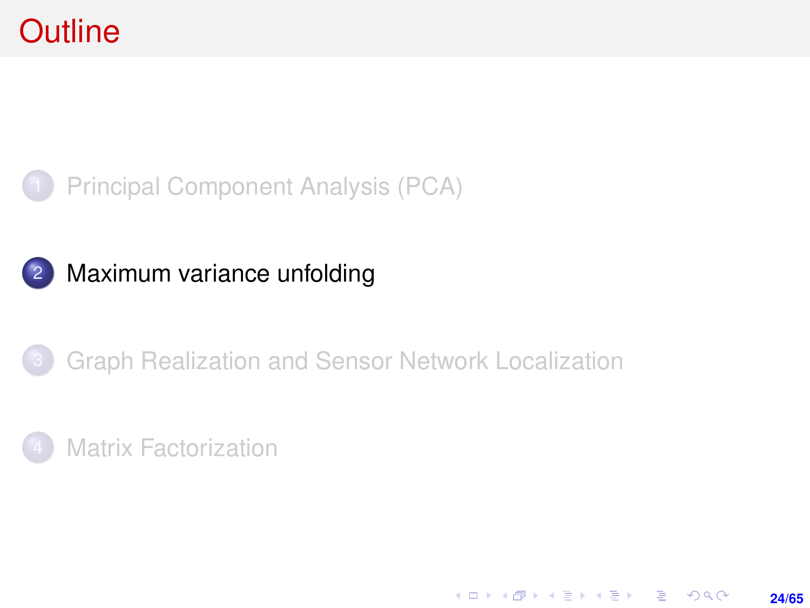<span id="page-23-0"></span>

#### 2 [Maximum variance unfolding](#page-23-0)

#### [Graph Realization and Sensor Network Localization](#page-39-0)

**24/65**

KO KARK KEK LE KORA

#### **[Matrix Factorization](#page-46-0)**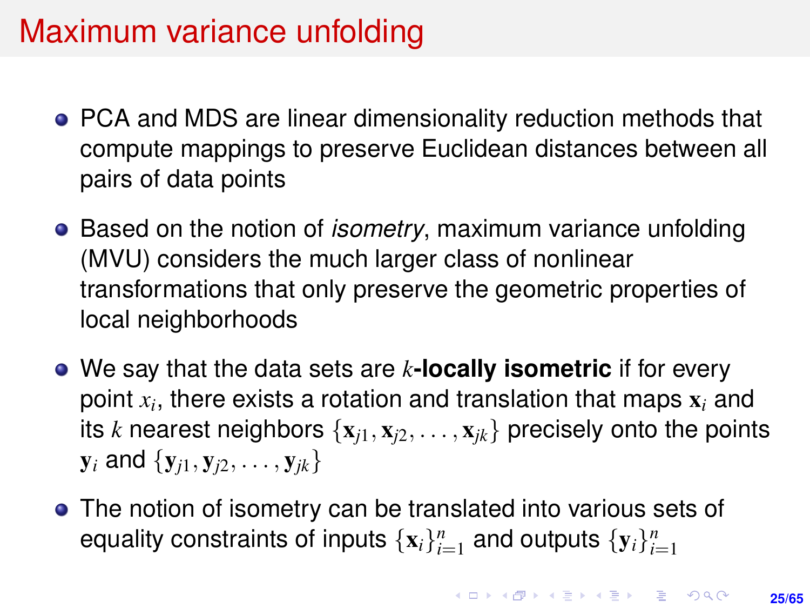## Maximum variance unfolding

- PCA and MDS are linear dimensionality reduction methods that compute mappings to preserve Euclidean distances between all pairs of data points
- Based on the notion of *isometry*, maximum variance unfolding (MVU) considers the much larger class of nonlinear transformations that only preserve the geometric properties of local neighborhoods
- We say that the data sets are *k***-locally isometric** if for every point *x<sup>i</sup>* , there exists a rotation and translation that maps x*<sup>i</sup>* and its *k* nearest neighbors  $\{x_{i1}, x_{i2}, \ldots, x_{ik}\}$  precisely onto the points  $y_i$  and  $\{y_{i1}, y_{i2}, \ldots, y_{ik}\}$
- The notion of isometry can be translated into various sets of equality constraints of inputs  $\{x_i\}_{i=1}^n$  and outputs  $\{y_i\}_{i=1}^n$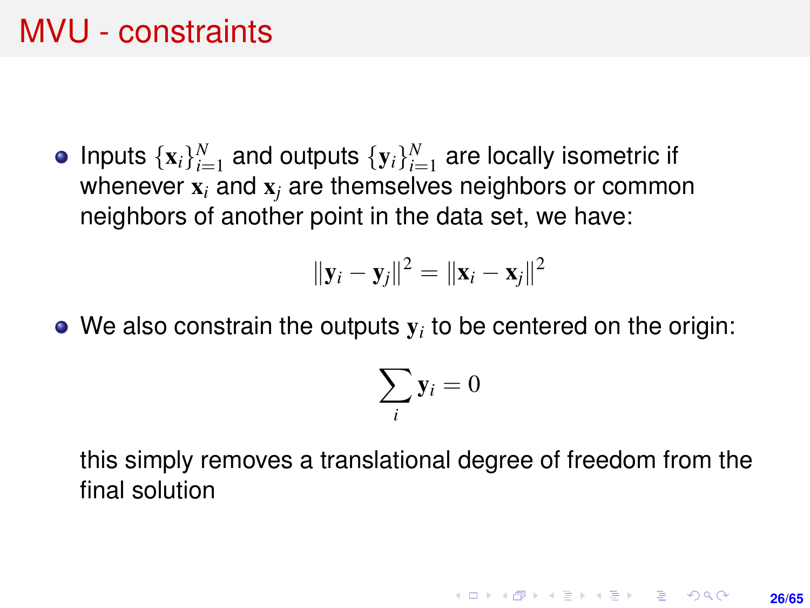#### MVU - constraints

Inputs  $\{x_i\}_{i=1}^N$  and outputs  $\{y_i\}_{i=1}^N$  are locally isometric if whenever x*<sup>i</sup>* and x*<sup>j</sup>* are themselves neighbors or common neighbors of another point in the data set, we have:

$$
\|\mathbf{y}_i-\mathbf{y}_j\|^2=\|\mathbf{x}_i-\mathbf{x}_j\|^2
$$

We also constrain the outputs  $\mathbf{y}_i$  to be centered on the origin:

$$
\sum_i \mathbf{y}_i = 0
$$

this simply removes a translational degree of freedom from the final solution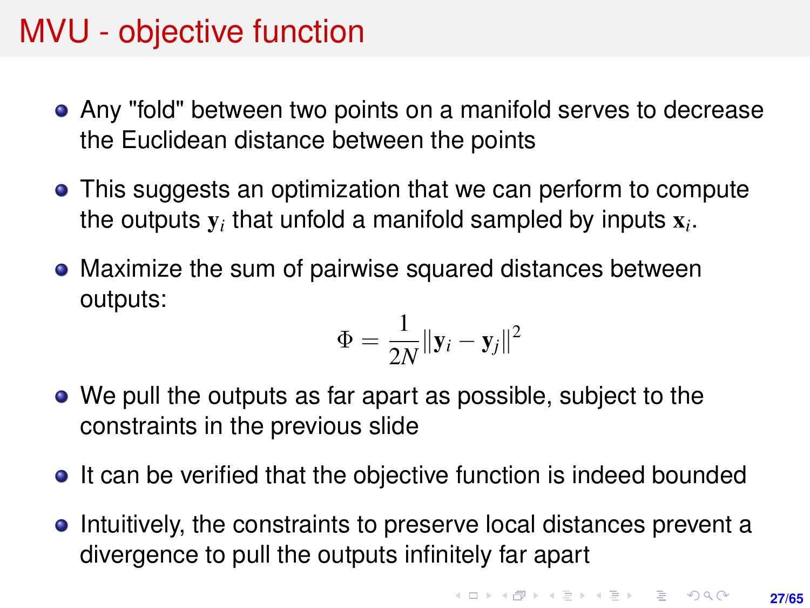## MVU - objective function

- Any "fold" between two points on a manifold serves to decrease the Euclidean distance between the points
- This suggests an optimization that we can perform to compute the outputs  $y_i$  that unfold a manifold sampled by inputs  $x_i$ .
- Maximize the sum of pairwise squared distances between outputs:

$$
\Phi = \frac{1}{2N} \|\mathbf{y}_i - \mathbf{y}_j\|^2
$$

- We pull the outputs as far apart as possible, subject to the constraints in the previous slide
- It can be verified that the objective function is indeed bounded
- Intuitively, the constraints to preserve local distances prevent a divergence to pull the outputs infinitely far apart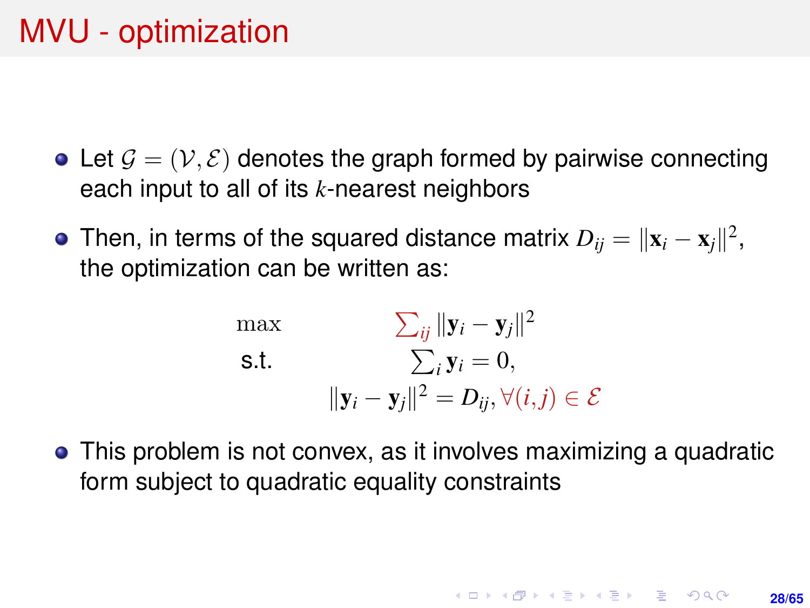## <span id="page-27-0"></span>MVU - optimization

- Let  $\mathcal{G} = (\mathcal{V}, \mathcal{E})$  denotes the graph formed by pairwise connecting each input to all of its *k*-nearest neighbors
- Then, in terms of the squared distance matrix  $D_{ij} = \|\mathbf{x}_i \mathbf{x}_j\|^2,$ the optimization can be written as:

$$
\begin{aligned}\n\max & \sum_{ij} \|\mathbf{y}_i - \mathbf{y}_j\|^2 \\
\text{s.t.} & \sum_i \mathbf{y}_i = 0, \\
\|\mathbf{y}_i - \mathbf{y}_j\|^2 = D_{ij}, \forall (i, j) \in \mathcal{E}\n\end{aligned}
$$

This problem is not convex, as it involves maximizing a quadratic form subject to quadratic equality constraints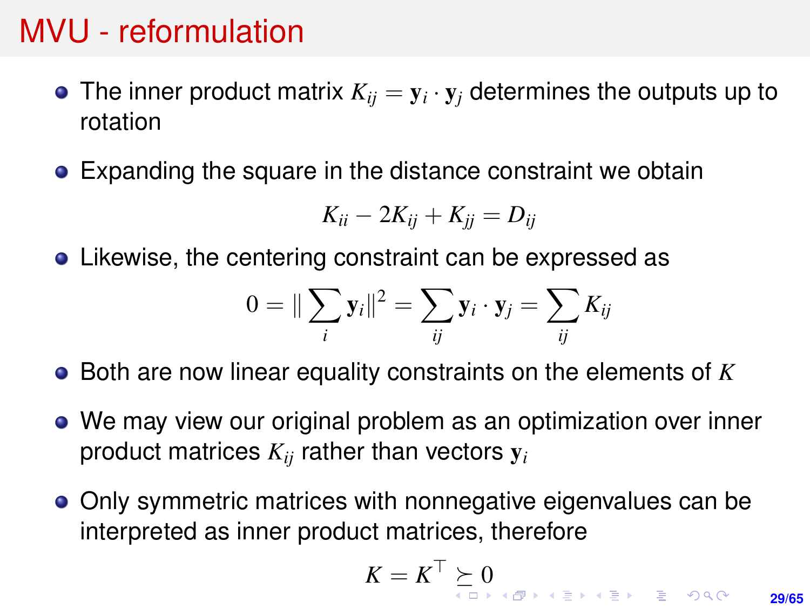- The inner product matrix  $K_{ij} = \mathbf{y}_i \cdot \mathbf{y}_j$  determines the outputs up to rotation
- Expanding the square in the distance constraint we obtain

$$
K_{ii}-2K_{ij}+K_{jj}=D_{ij}
$$

Likewise, the centering constraint can be expressed as

$$
0 = \|\sum_i \mathbf{y}_i\|^2 = \sum_{ij} \mathbf{y}_i \cdot \mathbf{y}_j = \sum_{ij} K_{ij}
$$

- Both are now linear equality constraints on the elements of *K*
- We may view our original problem as an optimization over inner product matrices *Kij* rather than vectors y*<sup>i</sup>*
- Only symmetric matrices with nonnegative eigenvalues can be interpreted as inner product matrices, therefore

$$
K = K^{\top} \succeq 0
$$

**29/65**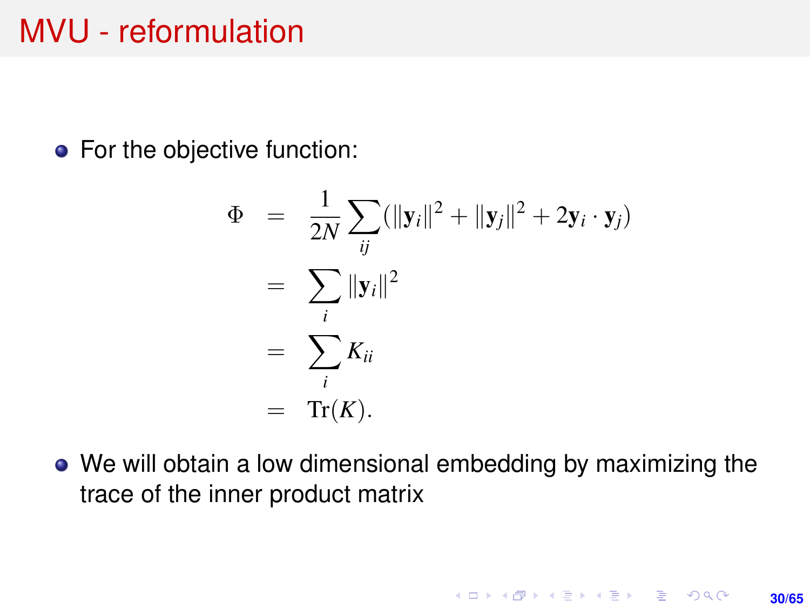<span id="page-29-0"></span>• For the objective function:

$$
\Phi = \frac{1}{2N} \sum_{ij} (\|\mathbf{y}_i\|^2 + \|\mathbf{y}_j\|^2 + 2\mathbf{y}_i \cdot \mathbf{y}_j)
$$
  
= 
$$
\sum_i \|\mathbf{y}_i\|^2
$$
  
= 
$$
\sum_i K_{ii}
$$
  
= Tr(K).

We will obtain a low dimensional embedding by maximizing the trace of the inner product matrix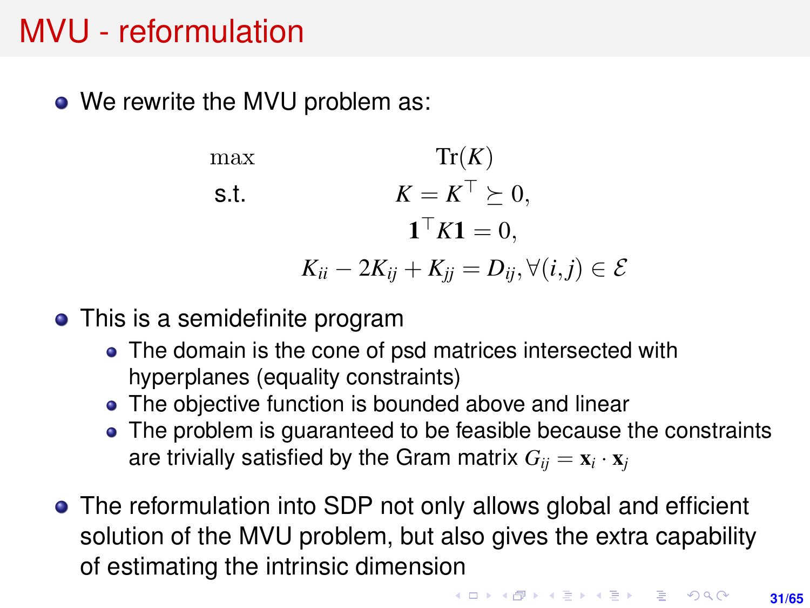• We rewrite the MVU problem as:

max  $\operatorname{Tr}(K)$ s.t.  $K = K^{\top} \succeq 0,$  $\mathbf{1}^{\top}K\mathbf{1}=0,$ *K*<sub>ii</sub> − 2*K*<sub>ii</sub> + *K*<sub>ii</sub> = *D*<sub>ii</sub>,  $\forall$ (*i*, *j*) ∈  $\mathcal{E}$ 

- This is a semidefinite program
	- The domain is the cone of psd matrices intersected with hyperplanes (equality constraints)
	- The objective function is bounded above and linear
	- The problem is guaranteed to be feasible because the constraints are trivially satisfied by the Gram matrix  $G_{ij} = \mathbf{x}_i \cdot \mathbf{x}_j$
- The reformulation into SDP not only allows global and efficient solution of the MVU problem, but also gives the extra capability of estimating the intrinsic dimension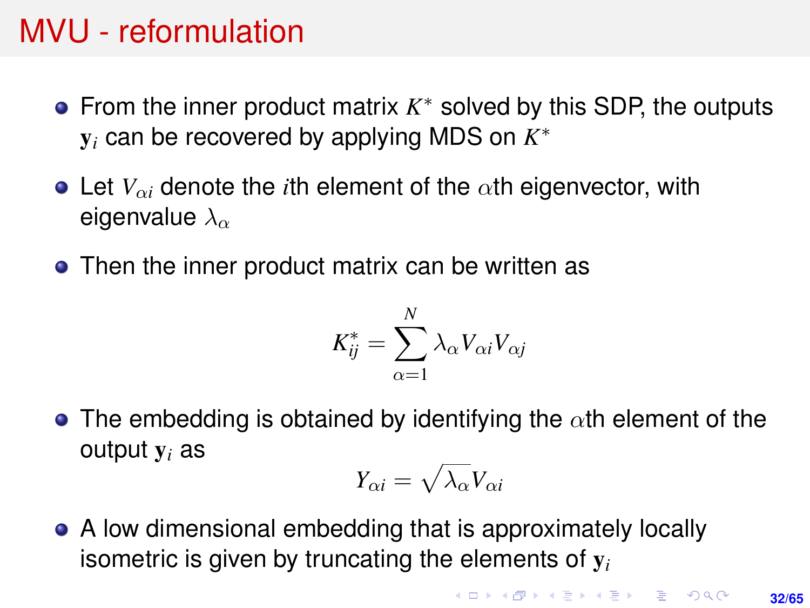- From the inner product matrix  $K^*$  solved by this SDP, the outputs y*<sup>i</sup>* can be recovered by applying MDS on *K* ∗
- Let  $V_{\alpha i}$  denote the *i*th element of the  $\alpha$ th eigenvector, with eigenvalue  $\lambda_{\alpha}$
- Then the inner product matrix can be written as

$$
K_{ij}^* = \sum_{\alpha=1}^N \lambda_\alpha V_{\alpha i} V_{\alpha j}
$$

• The embedding is obtained by identifying the  $\alpha$ th element of the output y*<sup>i</sup>* as

$$
Y_{\alpha i} = \sqrt{\lambda_{\alpha}} V_{\alpha i}
$$

A low dimensional embedding that is approximately locally isometric is given by truncating the elements of y*<sup>i</sup>*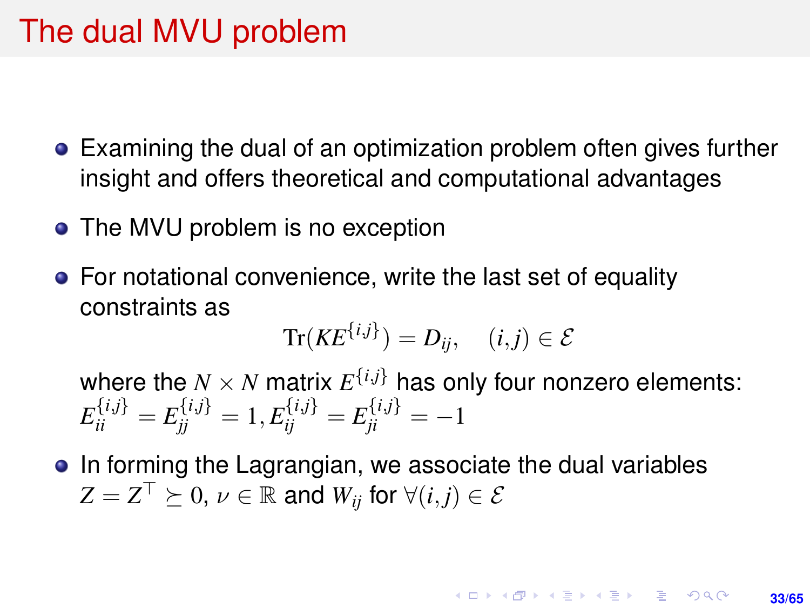#### The dual MVU problem

- Examining the dual of an optimization problem often gives further insight and offers theoretical and computational advantages
- The MVU problem is no exception
- For notational convenience, write the last set of equality constraints as

$$
\text{Tr}(KE^{\{i,j\}}) = D_{ij}, \quad (i,j) \in \mathcal{E}
$$

where the  $N \times N$  matrix  $E^{\{i,j\}}$  has only four nonzero elements:  $E_{ii}^{\{i,j\}} = E_{jj}^{\{i,j\}} = 1, E_{ij}^{\{i,j\}} = E_{ji}^{\{i,j\}} = -1$ 

• In forming the Lagrangian, we associate the dual variables  $Z = Z^\top \succeq 0$ ,  $\nu \in \mathbb{R}$  and  $W_{ij}$  for  $\forall (i, j) \in \mathcal{E}$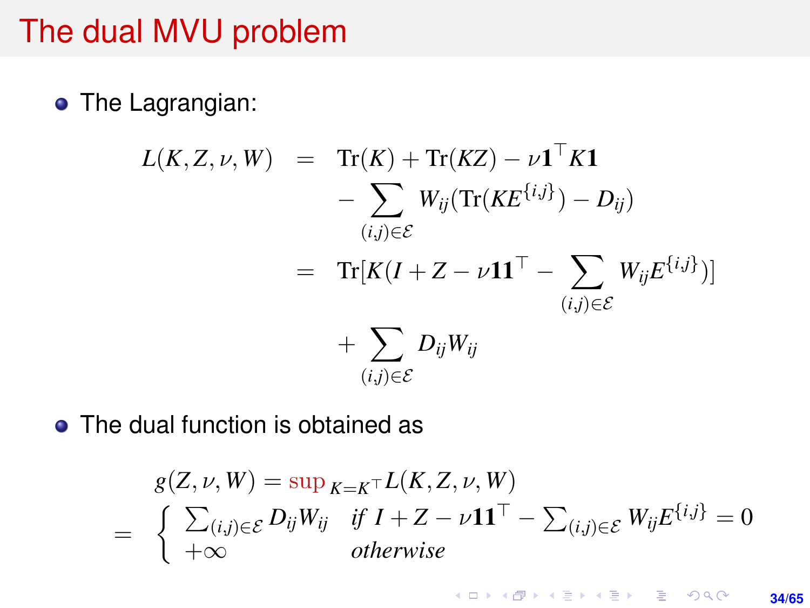#### The dual MVU problem

**•** The Lagrangian:

$$
L(K, Z, \nu, W) = \text{Tr}(K) + \text{Tr}(KZ) - \nu \mathbf{1}^\top K \mathbf{1}
$$
  
- 
$$
\sum_{(i,j) \in \mathcal{E}} W_{ij}(\text{Tr}(KE^{\{i,j\}}) - D_{ij})
$$
  
= 
$$
\text{Tr}[K(I + Z - \nu \mathbf{1}\mathbf{1}^\top - \sum_{(i,j) \in \mathcal{E}} W_{ij} E^{\{i,j\}})]
$$
  
+ 
$$
\sum_{(i,j) \in \mathcal{E}} D_{ij} W_{ij}
$$

• The dual function is obtained as

$$
g(Z, \nu, W) = \sup_{K=K^{\top}} L(K, Z, \nu, W)
$$
  
= 
$$
\begin{cases} \sum_{(i,j)\in\mathcal{E}} D_{ij}W_{ij} & \text{if } I + Z - \nu \mathbf{1}\mathbf{1}^{\top} - \sum_{(i,j)\in\mathcal{E}} W_{ij} E^{\{i,j\}} = 0 \\ +\infty & \text{otherwise} \end{cases}
$$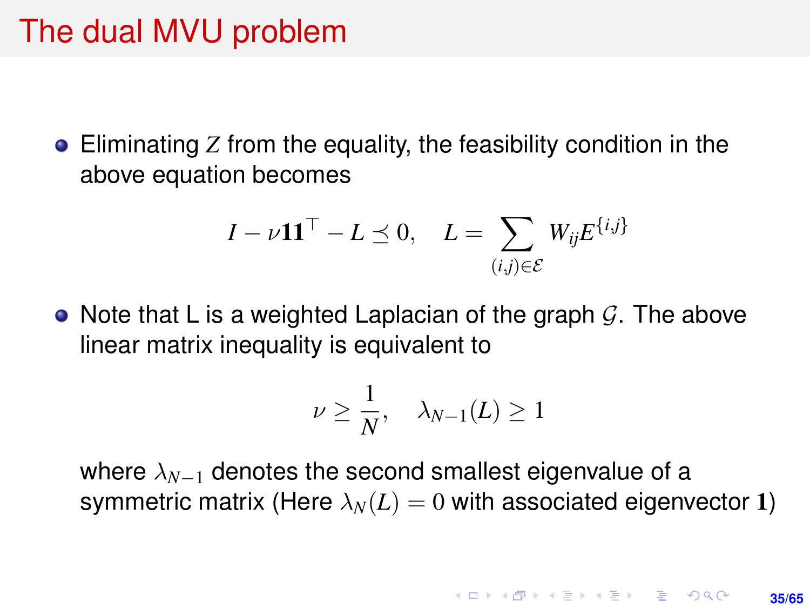#### The dual MVU problem

Eliminating *Z* from the equality, the feasibility condition in the above equation becomes

$$
I - \nu \mathbf{1} \mathbf{1}^{\top} - L \preceq 0, \quad L = \sum_{(i,j) \in \mathcal{E}} W_{ij} E^{\{i,j\}}
$$

• Note that L is a weighted Laplacian of the graph  $\mathcal{G}$ . The above linear matrix inequality is equivalent to

$$
\nu \geq \frac{1}{N}, \quad \lambda_{N-1}(L) \geq 1
$$

where  $λ_{N-1}$  denotes the second smallest eigenvalue of a symmetric matrix (Here  $\lambda_N(L) = 0$  with associated eigenvector 1)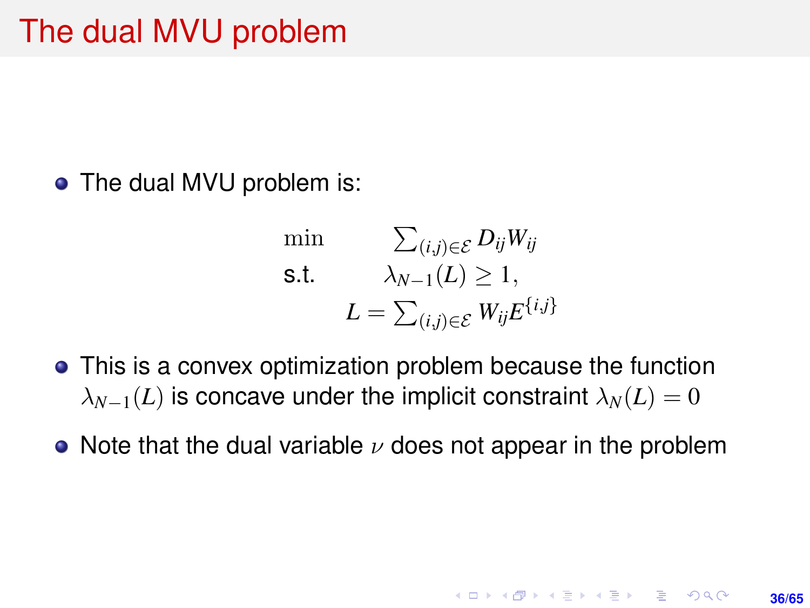• The dual MVU problem is:

$$
\begin{aligned}\n\min \qquad & \sum_{(i,j)\in\mathcal{E}} D_{ij} W_{ij} \\
\text{s.t.} \qquad & \lambda_{N-1}(L) \ge 1, \\
& L = \sum_{(i,j)\in\mathcal{E}} W_{ij} E^{\{i,j\}}\n\end{aligned}
$$

- This is a convex optimization problem because the function  $\lambda_{N-1}(L)$  is concave under the implicit constraint  $\lambda_N(L) = 0$
- Note that the dual variable  $\nu$  does not appear in the problem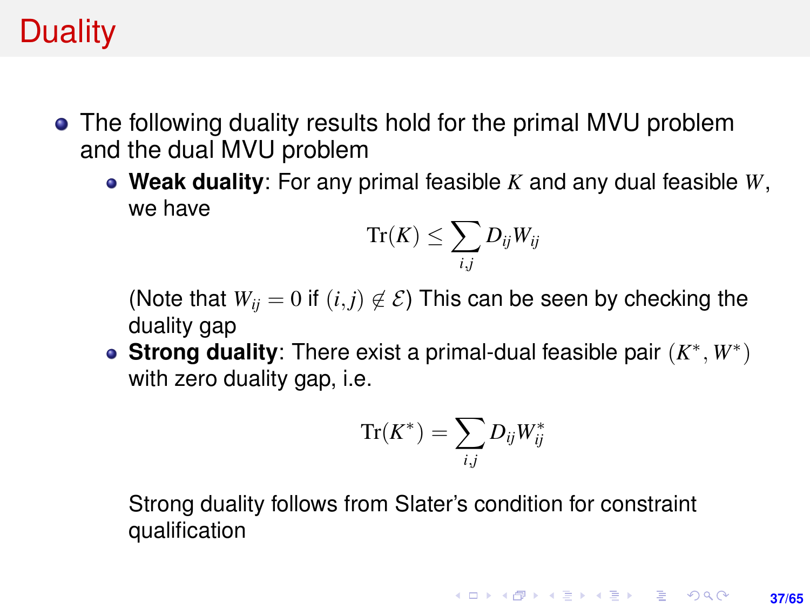## **Duality**

- The following duality results hold for the primal MVU problem and the dual MVU problem
	- **Weak duality**: For any primal feasible *K* and any dual feasible *W*, we have

$$
\text{Tr}(K) \leq \sum_{i,j} D_{ij} W_{ij}
$$

(Note that  $W_{ii} = 0$  if  $(i, j) \notin \mathcal{E}$ ) This can be seen by checking the duality gap

**Strong duality**: There exist a primal-dual feasible pair (*K* ∗ , *W*<sup>∗</sup> ) with zero duality gap, *i.e.* 

$$
\operatorname{Tr}(K^*)=\sum_{i,j}D_{ij}W^*_{ij}
$$

Strong duality follows from Slater's condition for constraint qualification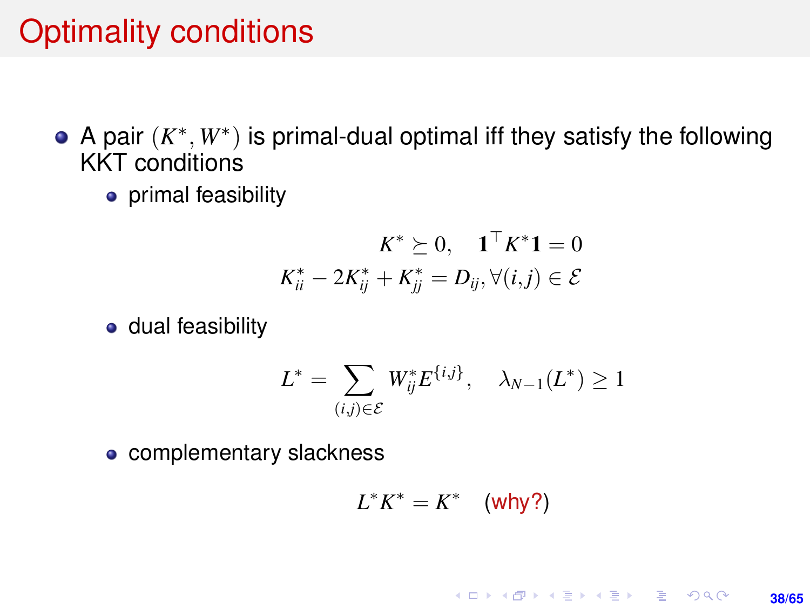## Optimality conditions

- A pair  $(K^*, W^*)$  is primal-dual optimal iff they satisfy the following KKT conditions
	- primal feasibility

$$
K^*\succeq 0, \quad \mathbf{1}^\top K^*\mathbf{1} = 0 \\ K^*_{ii} - 2K^*_{ij} + K^*_{jj} = D_{ij}, \forall (i,j) \in \mathcal{E}
$$

**o** dual feasibility

$$
L^* = \sum_{(i,j)\in\mathcal{E}} W_{ij}^* E^{\{i,j\}}, \quad \lambda_{N-1}(L^*) \ge 1
$$

• complementary slackness

$$
L^*K^* = K^* \quad \text{(why?)}
$$

#### **KORKARK KERKER DRAM 38/65**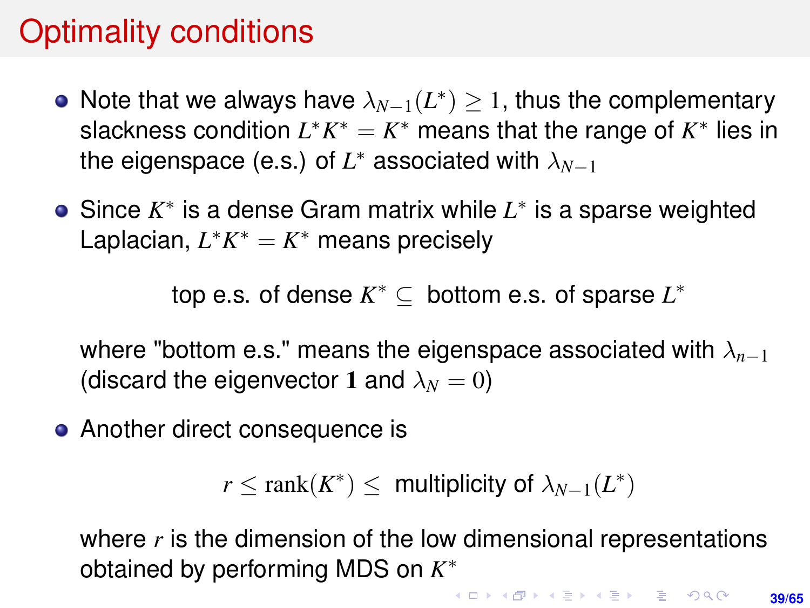## Optimality conditions

- Note that we always have  $\lambda_{N-1}(L^*)\geq 1$ , thus the complementary slackness condition  $L^*K^* = K^*$  means that the range of  $K^*$  lies in the eigenspace (e.s.) of  $L^*$  associated with  $\lambda_{N-1}$
- Since *K* ∗ is a dense Gram matrix while *L* ∗ is a sparse weighted Laplacian,  $L^*K^* = K^*$  means precisely

top e.s. of dense  $K^* \subseteq$  bottom e.s. of sparse  $L^*$ 

where "bottom e.s." means the eigenspace associated with  $\lambda_{n-1}$ (discard the eigenvector 1 and  $\lambda_N = 0$ )

• Another direct consequence is

```
r \leq \text{rank}(K^*) \leq \text{multiplicity of } \lambda_{N-1}(L^*)
```
where *r* is the dimension of the low dimensional representations obtained by performing MDS on *K* ∗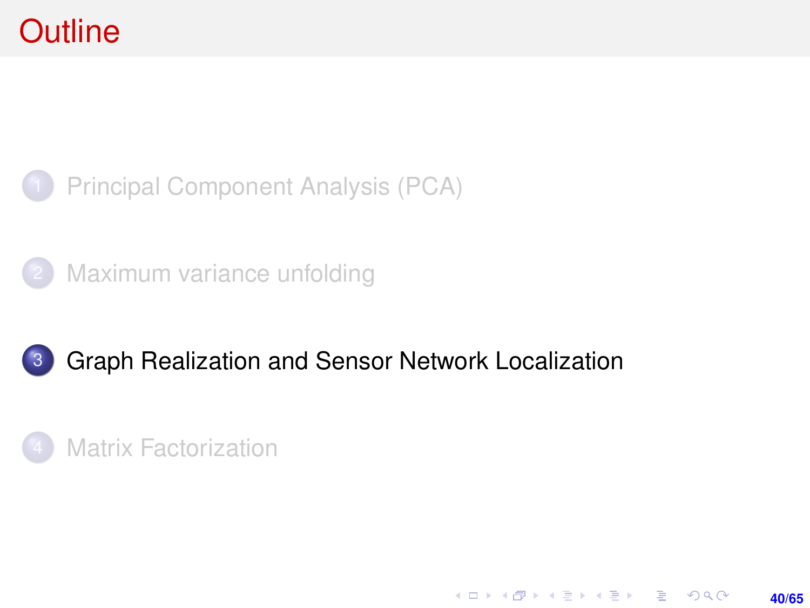<span id="page-39-0"></span>



[Maximum variance unfolding](#page-23-0)



#### 3 [Graph Realization and Sensor Network Localization](#page-39-0)

**40/65**

KO KARK KEK LE KORA

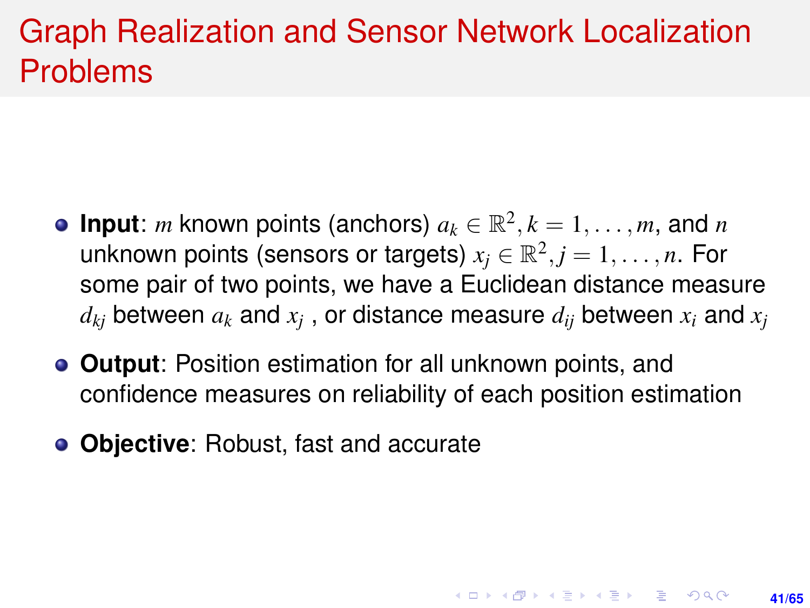## Graph Realization and Sensor Network Localization Problems

- **Input**: *m* known points (anchors)  $a_k \in \mathbb{R}^2, k = 1, \ldots, m$ , and *n* unknown points (sensors or targets)  $x_j \in \mathbb{R}^2, j = 1, \ldots, n$ . For some pair of two points, we have a Euclidean distance measure  $d_{kj}$  between  $a_k$  and  $x_j$  , or distance measure  $d_{ij}$  between  $x_i$  and  $x_j$
- **Output**: Position estimation for all unknown points, and confidence measures on reliability of each position estimation

**41/65**

**KORKAR KERKER E KORA** 

**Objective**: Robust, fast and accurate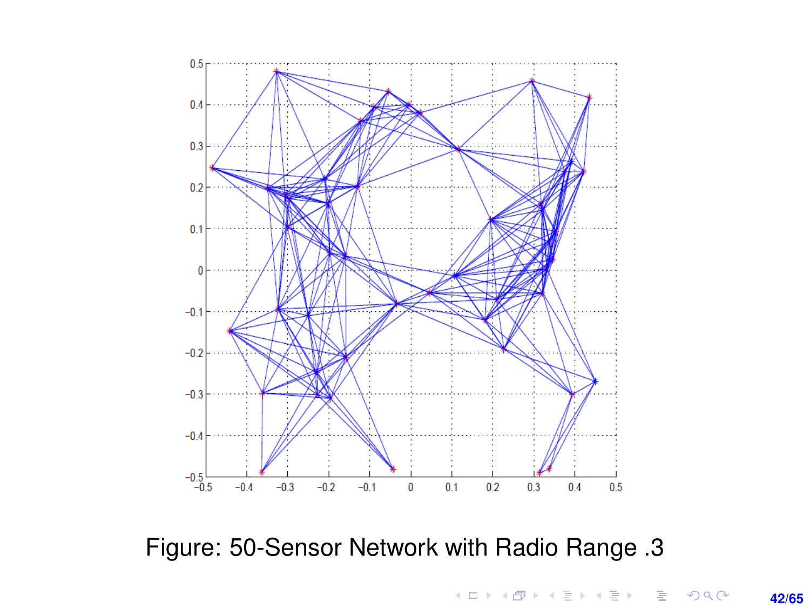

Figure: 50-Sensor Network with Radio Range .3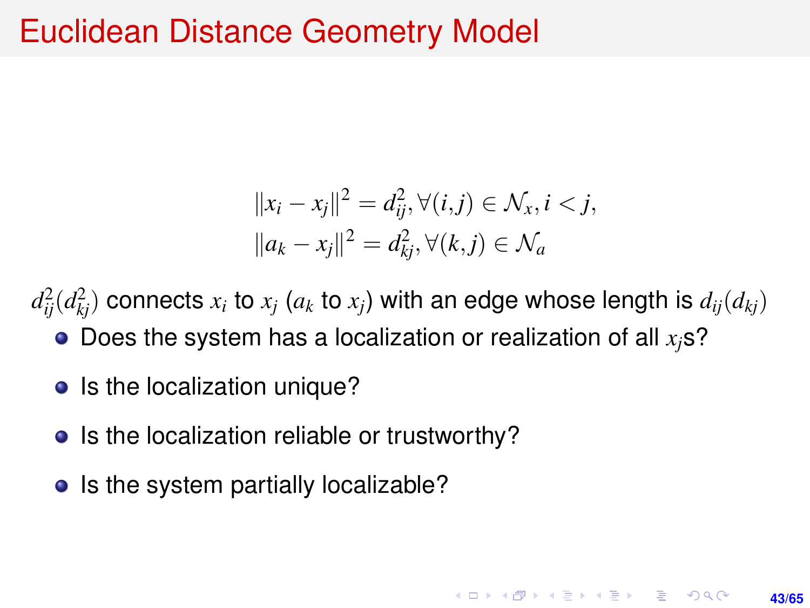#### Euclidean Distance Geometry Model

$$
||x_i - x_j||^2 = d_{ij}^2, \forall (i, j) \in \mathcal{N}_x, i < j,
$$
  
\n
$$
||a_k - x_j||^2 = d_{kj}^2, \forall (k, j) \in \mathcal{N}_a
$$

**43/65**

**KORKARK A BIK BIKA A GA A GA A GA A BIKA A BIKA A BIKA A BIKA A BIKA A BIKA A BIKA A BIKA A BIKA A BIKA A BIKA** 

 $d_{ij}^2(d_{kj}^2)$  connects  $x_i$  to  $x_j$  ( $a_k$  to  $x_j$ ) with an edge whose length is  $d_{ij}(d_{kj})$ 

- $\bullet$  Does the system has a localization or realization of all  $x_i$ s?
- Is the localization unique?
- Is the localization reliable or trustworthy?
- Is the system partially localizable?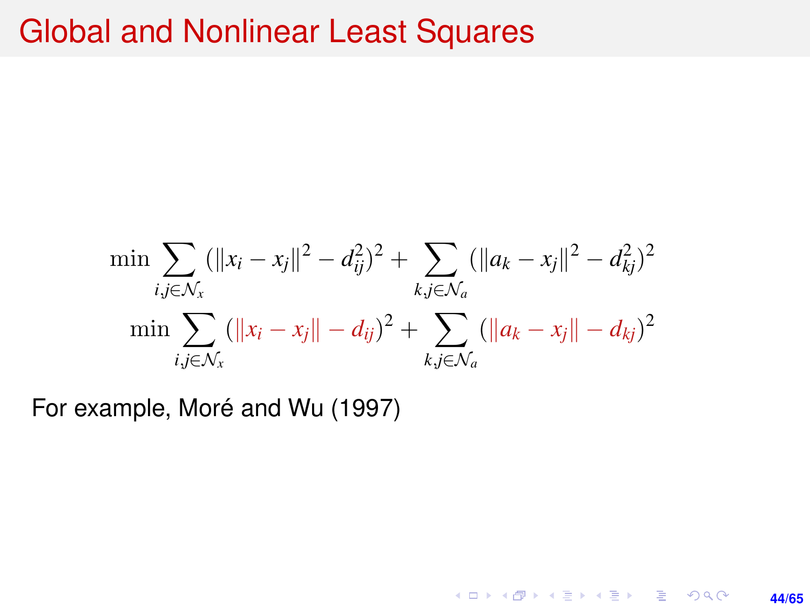#### Global and Nonlinear Least Squares

$$
\min \sum_{i,j \in \mathcal{N}_x} (\|x_i - x_j\|^2 - d_{ij}^2)^2 + \sum_{k,j \in \mathcal{N}_a} (\|a_k - x_j\|^2 - d_{kj}^2)^2
$$

$$
\min \sum_{i,j \in \mathcal{N}_x} (\|x_i - x_j\| - d_{ij})^2 + \sum_{k,j \in \mathcal{N}_a} (\|a_k - x_j\| - d_{kj})^2
$$

**44/65**

K ロ ▶ K @ ▶ K 할 ▶ K 할 ▶ 이 할 → 9 Q @

For example, Moré and Wu (1997)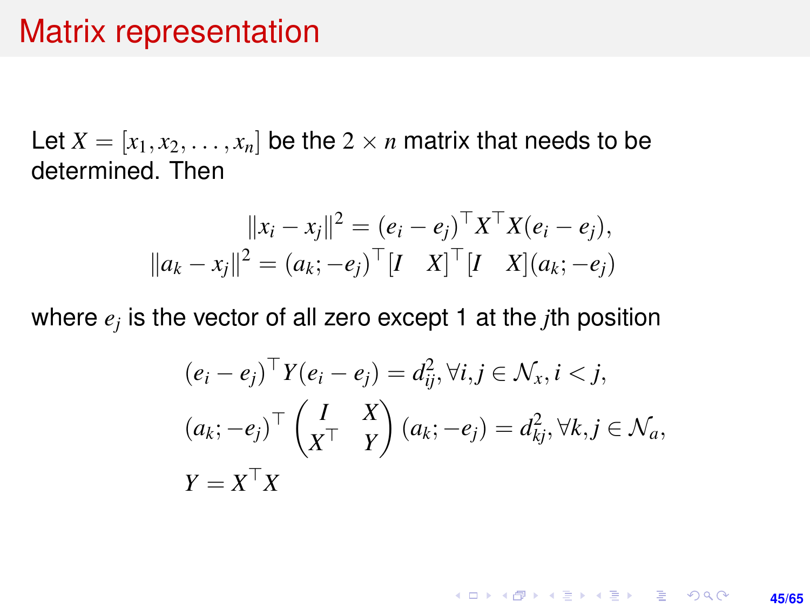#### Matrix representation

Let  $X = [x_1, x_2, \ldots, x_n]$  be the  $2 \times n$  matrix that needs to be determined. Then

$$
||x_i - x_j||^2 = (e_i - e_j)^{\top} X^{\top} X (e_i - e_j),
$$
  

$$
||a_k - x_j||^2 = (a_k; -e_j)^{\top} [I \quad X]^{\top} [I \quad X](a_k; -e_j)
$$

where *e<sup>j</sup>* is the vector of all zero except 1 at the *j*th position

$$
(e_i - e_j)^{\top} Y(e_i - e_j) = d_{ij}^2, \forall i, j \in \mathcal{N}_x, i < j,
$$
\n
$$
(a_k; -e_j)^{\top} \begin{pmatrix} I & X \\ X^{\top} & Y \end{pmatrix} (a_k; -e_j) = d_{kj}^2, \forall k, j \in \mathcal{N}_a,
$$
\n
$$
Y = X^{\top} X
$$

KO KKO KARA VE KARA **45/65**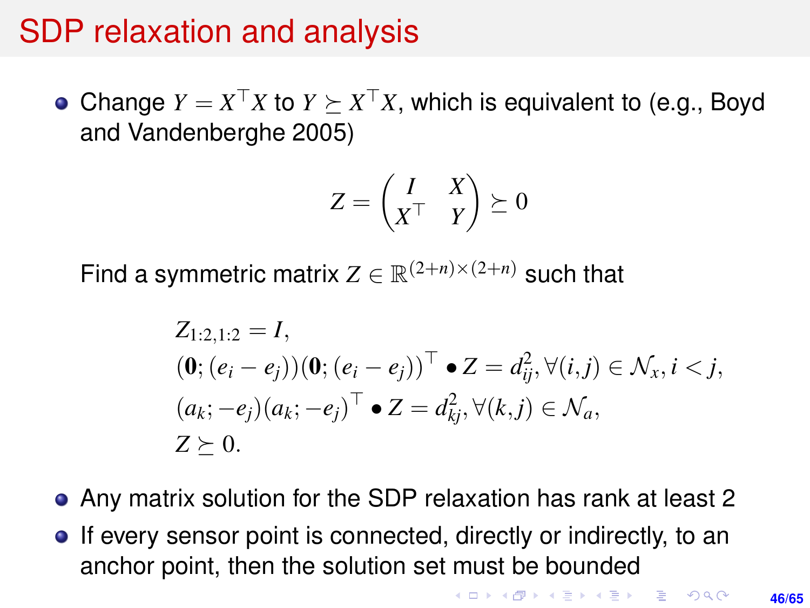#### SDP relaxation and analysis

Change  $Y = X^{\top}X$  to  $Y \succeq X^{\top}X$ , which is equivalent to (e.g., Boyd and Vandenberghe 2005)

$$
Z = \begin{pmatrix} I & X \\ X^\top & Y \end{pmatrix} \succeq 0
$$

Find a symmetric matrix  $Z \in \mathbb{R}^{(2+n)\times(2+n)}$  such that

$$
Z_{1:2,1:2} = I,
$$
  
\n
$$
(\mathbf{0}; (e_i - e_j))(\mathbf{0}; (e_i - e_j))^{\top} \bullet Z = d_{ij}^2, \forall (i,j) \in \mathcal{N}_x, i < j,
$$
  
\n
$$
(a_k; -e_j)(a_k; -e_j)^{\top} \bullet Z = d_{kj}^2, \forall (k,j) \in \mathcal{N}_a,
$$
  
\n
$$
Z \succeq 0.
$$

- Any matrix solution for the SDP relaxation has rank at least 2
- **•** If every sensor point is connected, directly or indirectly, to an anchor point, then the solution set must be bounded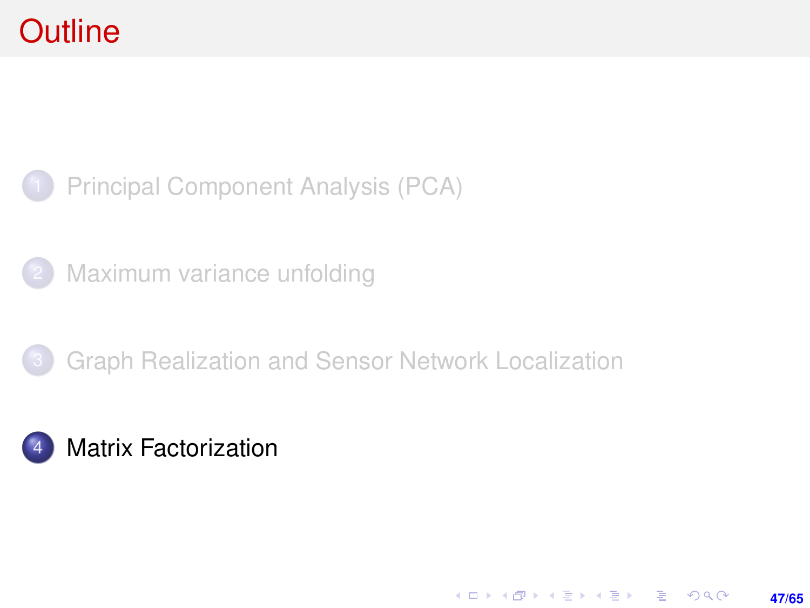<span id="page-46-0"></span>

[Maximum variance unfolding](#page-23-0)



**47/65**

KO KARK KEK LE KORA

#### **[Matrix Factorization](#page-46-0)**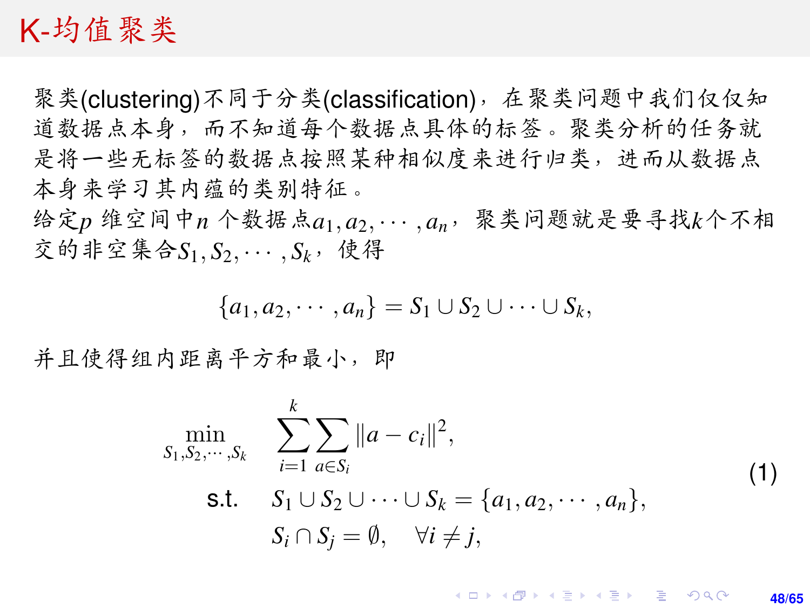#### K-均值聚类

<sup>聚</sup>类(clustering)不同于分类(classification),在聚类问题中我们仅仅<sup>知</sup> <sup>道</sup>数据点本身,而不知道每个数据点具体的标签。聚类分析的任务就 是将一些无标签的数据点按照某种相似度来进行归类,进而从数据点 <sup>本</sup>身来学习其内蕴的类别特征。

<sup>给</sup>定*<sup>p</sup>* <sup>维</sup>空间中*<sup>n</sup>* <sup>个</sup>数据点*a*1, *<sup>a</sup>*2, · · · , *<sup>a</sup>n*,聚类问题就是要寻找*k*个不<sup>相</sup>  $\bar{x}$  的非空集合*S*<sub>1</sub>, *S*<sub>2</sub>, · · · , *S*<sub>k</sub>, 使得

$$
{a_1,a_2,\cdots,a_n}=S_1\cup S_2\cup\cdots\cup S_k,
$$

<sup>并</sup>且使得组内距离平方和最小,<sup>即</sup>

<span id="page-47-0"></span>
$$
\min_{S_1, S_2, \dots, S_k} \sum_{i=1}^k \sum_{a \in S_i} ||a - c_i||^2,
$$
\n
$$
\text{s.t.} \quad S_1 \cup S_2 \cup \dots \cup S_k = \{a_1, a_2, \dots, a_n\},
$$
\n
$$
S_i \cap S_j = \emptyset, \quad \forall i \neq j,
$$
\n
$$
(1)
$$

KOD KAP KED KED E VOQO **48/65**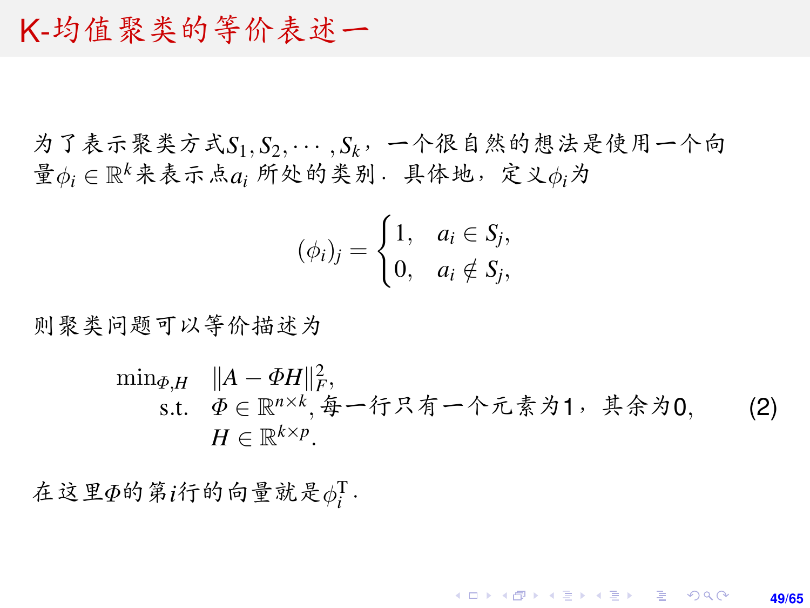#### K-均值聚类的等价表述<sup>一</sup>

为了表示聚类方式*S*1, *<sup>S</sup>*2, · · · , *<sup>S</sup>k*,一个很自然的想法是使用一个<sup>向</sup>  $\mathcal{F} \phi_i$ ∈ $\mathbb{R}^k$ 来表示点 $a_i$  所处的类别. 具体地, 定义 $\phi_i$ 为

$$
(\phi_i)_j = \begin{cases} 1, & a_i \in S_j, \\ 0, & a_i \notin S_j, \end{cases}
$$

<sup>则</sup>聚类问题可以等价描述<sup>为</sup>

$$
\min_{\Phi, H} \quad \|A - \Phi H\|_F^2,
$$
\n
$$
\text{s.t.} \quad \Phi \in \mathbb{R}^{n \times k}, \# - \text{if } \mathcal{R} \neq \text{if } \mathcal{R} \neq \text{if } \mathcal{R} \neq 0, \quad (2)
$$
\n
$$
H \in \mathbb{R}^{k \times p}.
$$

 $\hat{A}$ 这里 $\Phi$ 的第*i*行的向量就是 $\phi_i^{\rm T}$ .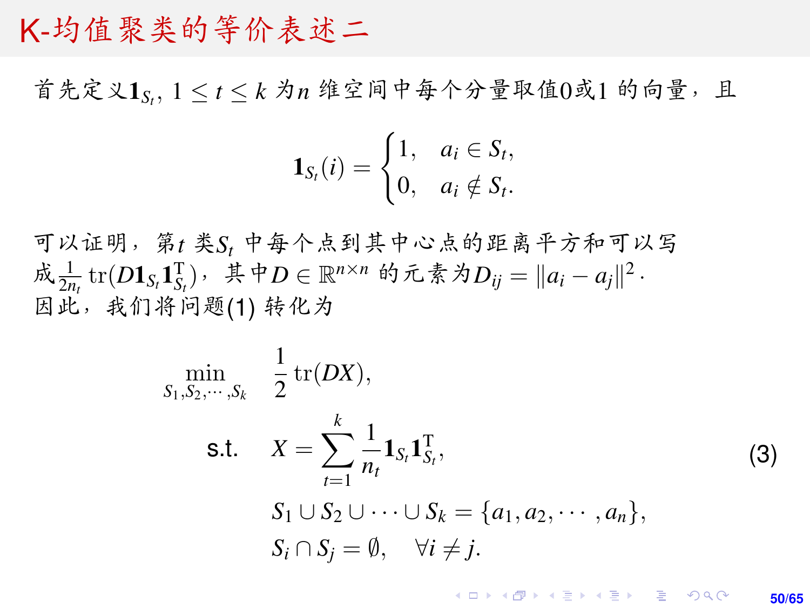#### K-均值聚类的等价表述<sup>二</sup>

首先定义1<sub>St</sub>, 1 ≤ t ≤ k 为n 维空间中每个分量取值0或1 的向量, 且

$$
\mathbf{1}_{S_t}(i) = \begin{cases} 1, & a_i \in S_t, \\ 0, & a_i \notin S_t. \end{cases}
$$

<sup>可</sup>以证明,第*<sup>t</sup>* <sup>类</sup>*S<sup>t</sup>* <sup>中</sup>每个点到其中心点的距离平方和可以<sup>写</sup> 成  $\frac{1}{2n_t}$  tr( $D$ **1**<sub>St</sub></sub> $1_{S_t}^T$ ), 其中 $D \in \mathbb{R}^{n \times n}$  的元素为 $D_{ij} = ||a_i - a_j||^2$ .<br>因此,我们将问题(1) 转化为 <sup>因</sup>此,我们将问题[\(1\)](#page-47-0) <sup>转</sup>化<sup>为</sup>

$$
\min_{S_1, S_2, \dots, S_k} \frac{1}{2} \operatorname{tr}(DX),
$$
\n
$$
\text{s.t.} \quad X = \sum_{t=1}^k \frac{1}{n_t} \mathbf{1}_{S_t} \mathbf{1}_{S_t}^T, \quad S_1 \cup S_2 \cup \dots \cup S_k = \{a_1, a_2, \dots, a_n\},
$$
\n
$$
S_i \cap S_j = \emptyset, \quad \forall i \neq j.
$$
\n(3)

**KOD KARD KED KED DRA 50/65**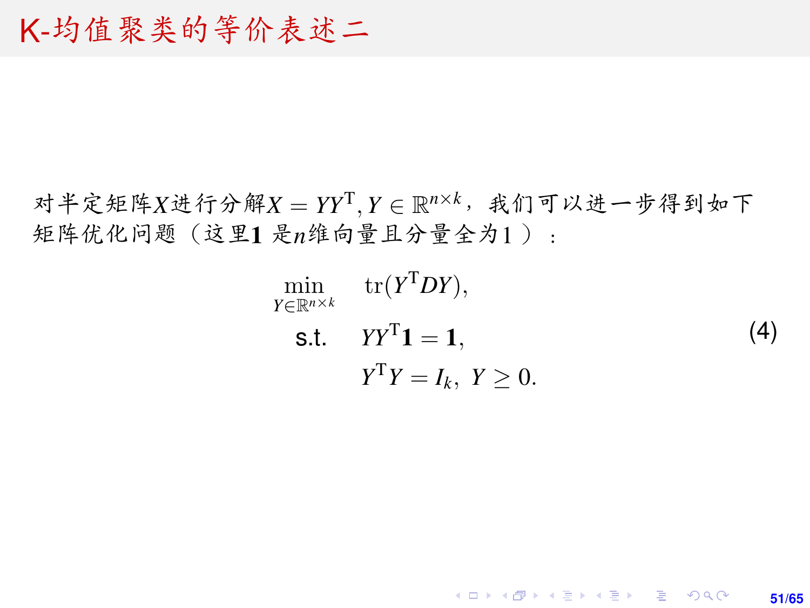#### <span id="page-50-0"></span>K-均值聚类的等价表述<sup>二</sup>

对半定矩阵*X*进行分解*X* = *YY*<sup>T</sup>, *Y* ∈ R<sup>n×k,</sup>我们可以进一步得到如下 <sup>矩</sup>阵优化问题(这里<sup>1</sup> <sup>是</sup>*n*维向量且分量全为<sup>1</sup> ):

$$
\min_{Y \in \mathbb{R}^{n \times k}} \text{tr}(Y^T DY),
$$
\n
$$
\text{s.t.} \quad YY^T \mathbf{1} = \mathbf{1},
$$
\n
$$
Y^T Y = I_k, \ Y \ge 0.
$$
\n(4)

K ロ X K @ X K 할 X K 할 X 및 할 X Q Q Q

**51/65**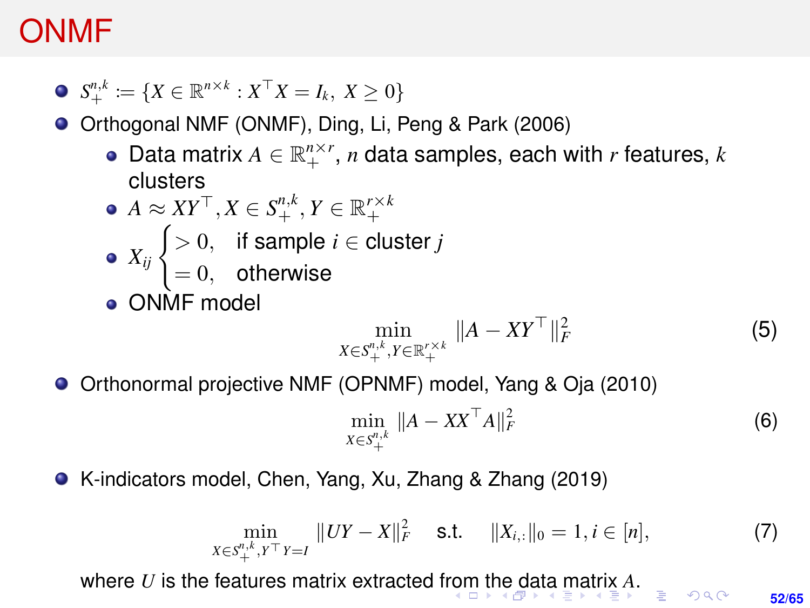#### <span id="page-51-0"></span>ONMF

$$
\bullet \ \ S_+^{n,k} \coloneqq \{ X \in \mathbb{R}^{n \times k} : X^\top X = I_k, \ X \geq 0 \}
$$

● Orthogonal NMF (ONMF), Ding, Li, Peng & Park (2006)

- Data matrix  $A \in \mathbb{R}_+^{n \times r}$ ,  $n$  data samples, each with  $r$  features,  $k$ clusters
- $A \approx XY^{\top}, X \in S^{n,k}_+, Y \in \mathbb{R}^{r \times k}_+$  $X_{ij}$   $\begin{cases} > 0, & \text{if sample } i \in \text{cluster } j \end{cases}$  $= 0$ , otherwise

**ONME** model

$$
\min_{X \in S^{n,k}_{+}, Y \in \mathbb{R}^{r \times k}_{+}} \|A - XY^{\top}\|_{F}^{2}
$$
\n(5)

Orthonormal projective NMF (OPNMF) model, Yang & Oja (2010)  $\bullet$ 

$$
\min_{X \in S^{n,k}_{+}} \|A - XX^{\top}A\|_{F}^{2}
$$
\n(6)

K-indicators model, Chen, Yang, Xu, Zhang & Zhang (2019)

$$
\min_{X \in S^{n,k}_{+}, Y^{T}Y = I} \|UY - X\|_{F}^{2} \quad \text{s.t.} \quad \|X_{i,:}\|_{0} = 1, i \in [n],
$$
\n(7)

wh[e](#page-50-0)re *U* is the features matrix extracted f[rom](#page-50-0) [th](#page-52-0)e [d](#page-51-0)[at](#page-52-0)[a](#page-0-0) [ma](#page-64-0)[trix](#page-0-0) *[A](#page-64-0)*[.](#page-0-0)

**52/65**

 $OQ$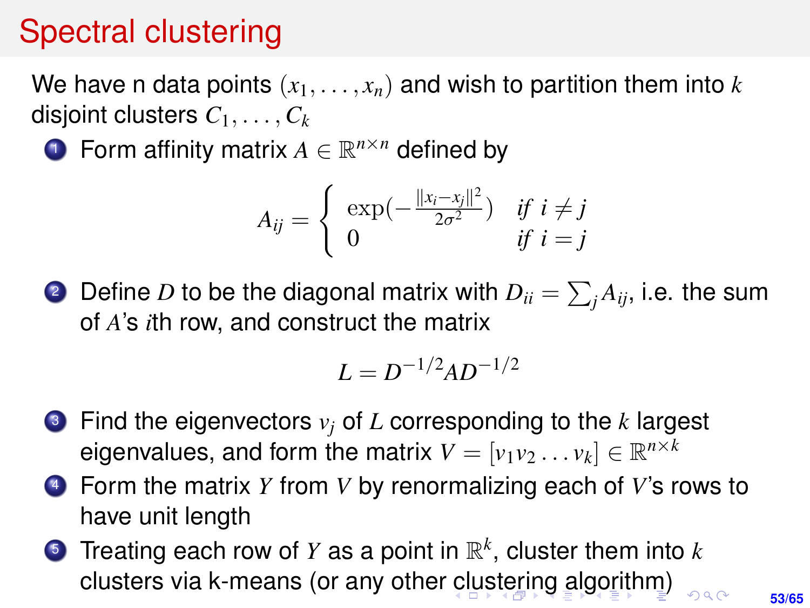## <span id="page-52-0"></span>Spectral clustering

We have n data points  $(x_1, \ldots, x_n)$  and wish to partition them into *k* disjoint clusters *C*1, . . . , *C<sup>k</sup>*

**1** Form affinity matrix  $A \in \mathbb{R}^{n \times n}$  defined by

$$
A_{ij} = \begin{cases} \exp(-\frac{||x_i - x_j||^2}{2\sigma^2}) & \text{if } i \neq j \\ 0 & \text{if } i = j \end{cases}
$$

 $2$  Define  $D$  to be the diagonal matrix with  $D_{ii} = \sum_j A_{ij}$ , i.e. the sum of *A*'s *i*th row, and construct the matrix

$$
L = D^{-1/2}AD^{-1/2}
$$

- <sup>3</sup> Find the eigenvectors *v<sup>j</sup>* of *L* corresponding to the *k* largest eigenvalues, and form the matrix  $V = [v_1v_2 \dots v_k] \in \mathbb{R}^{n \times k}$
- <sup>4</sup> Form the matrix *Y* from *V* by renormalizing each of *V*'s rows to have unit length
- <sup>5</sup> Treating each row of *Y* as a point in R *k* , cluster them into *k* clusters via k-means (or any other [cl](#page-51-0)[us](#page-53-0)[t](#page-51-0)[eri](#page-52-0)[n](#page-53-0)[g](#page-0-0) [al](#page-64-0)[go](#page-0-0)[rit](#page-64-0)[hm](#page-0-0)[\)](#page-64-0)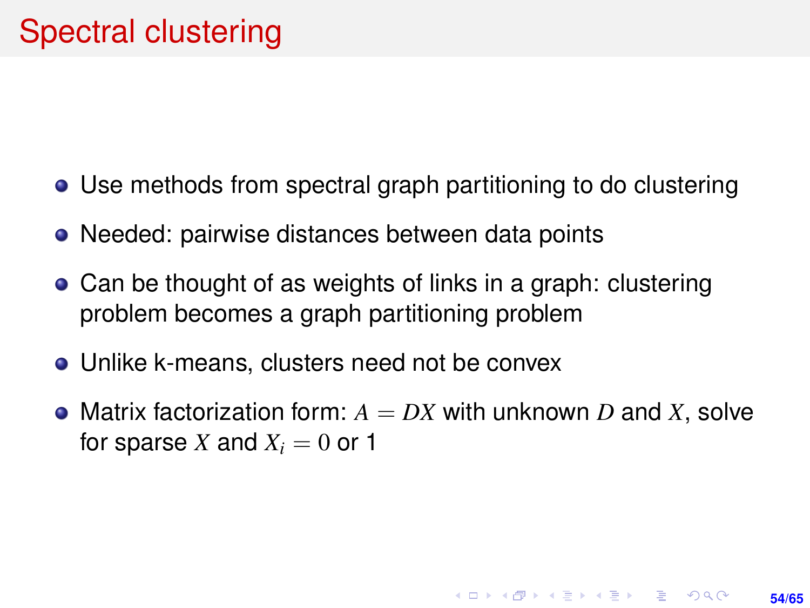- <span id="page-53-0"></span>Use methods from spectral graph partitioning to do clustering
- Needed: pairwise distances between data points
- Can be thought of as weights of links in a graph: clustering problem becomes a graph partitioning problem
- Unlike k-means, clusters need not be convex
- Matrix factorization form:  $A = DX$  with unknown D and X, solve for sparse X and  $X_i = 0$  or 1

**54/65**

**KORKARK A BIK BIKA A GA A GA A GA A BIKA A BIKA A BIKA A BIKA A BIKA A BIKA A BIKA A BIKA A BIKA A BIKA A BIKA**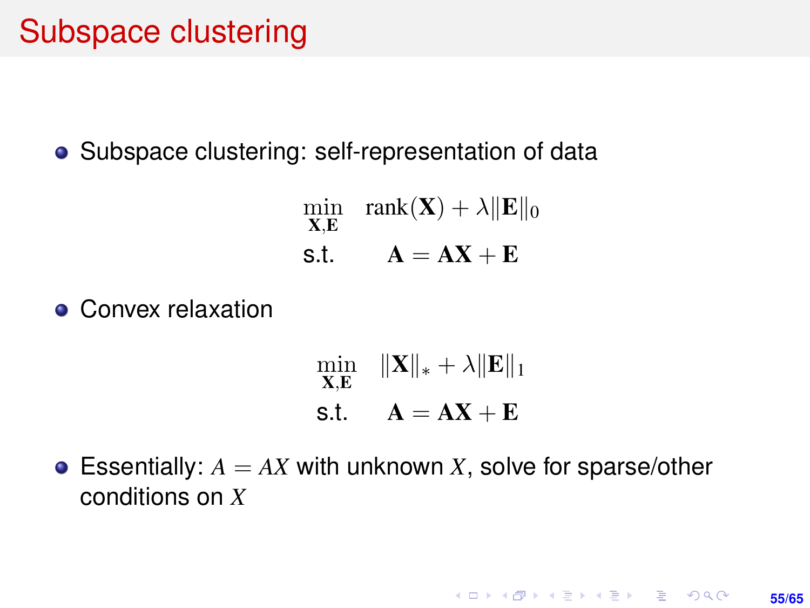#### Subspace clustering

• Subspace clustering: self-representation of data

min X,E rank $(X) + \lambda ||E||_0$ s.t.  $A = AX + E$ 

**• Convex relaxation** 

$$
\min_{\mathbf{X}, \mathbf{E}} \quad \|\mathbf{X}\|_{*} + \lambda \|\mathbf{E}\|_{1}
$$
  
s.t. 
$$
\mathbf{A} = \mathbf{A}\mathbf{X} + \mathbf{E}
$$

**• Essentially:**  $A = AX$  with unknown *X*, solve for sparse/other conditions on *X*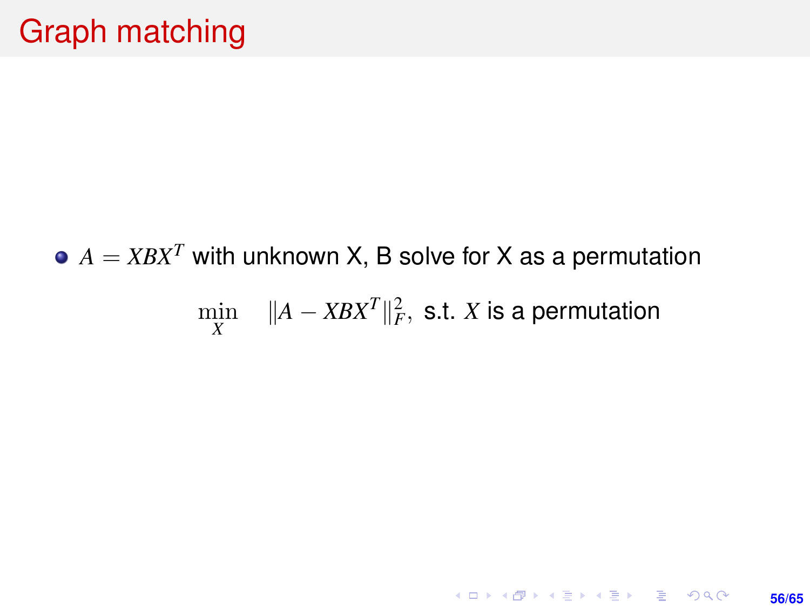# $A = XBX^T$  with unknown X, B solve for X as a permutation  $\min_X \quad \|A-XBX^T\|_F^2, \text{ s.t. } X \text{ is a permutation}$

KO KKØKKEKKEK E KORO **56/65**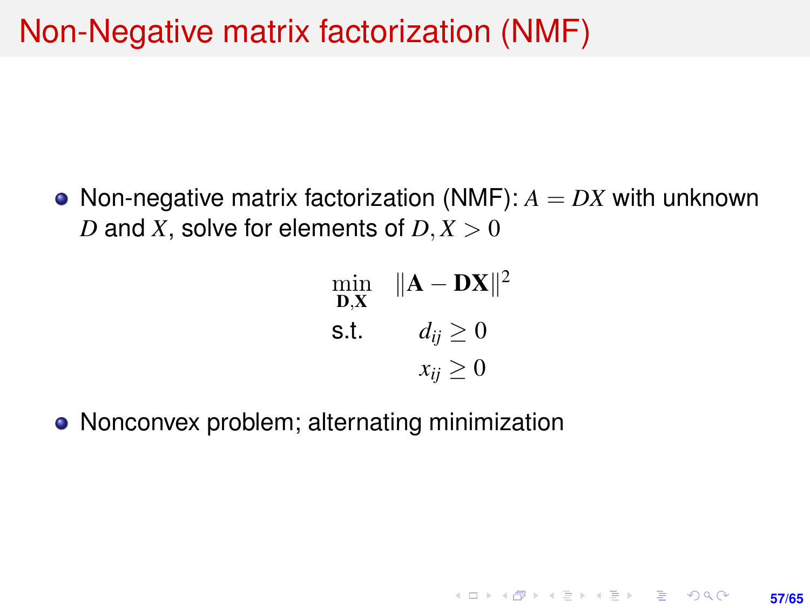## Non-Negative matrix factorization (NMF)

• Non-negative matrix factorization (NMF):  $A = DX$  with unknown *D* and *X*, solve for elements of  $D, X > 0$ 

$$
\min_{\mathbf{D}, \mathbf{X}} \quad \|\mathbf{A} - \mathbf{D}\mathbf{X}\|^2
$$
  
s.t. 
$$
d_{ij} \ge 0
$$

$$
x_{ij} \ge 0
$$

**57/65**

**KORKARK KERKER DRAM** 

• Nonconvex problem; alternating minimization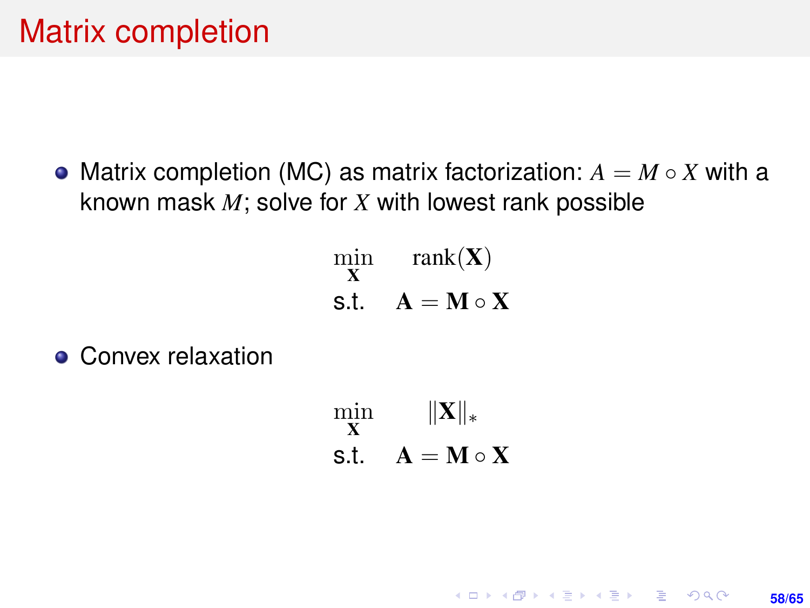• Matrix completion (MC) as matrix factorization:  $A = M \circ X$  with a known mask *M*; solve for *X* with lowest rank possible

> min X rank $(X)$ s.t.  $A = M \circ X$

• Convex relaxation

min X  $\|\mathbf{X}\|_*$ s.t.  $A = M \circ X$ 

> **KORKARK A BIK BIKA A GA A GA A GA A BIKA A BIKA A BIKA A BIKA A BIKA A BIKA A BIKA A BIKA A BIKA A BIKA A BIKA 58/65**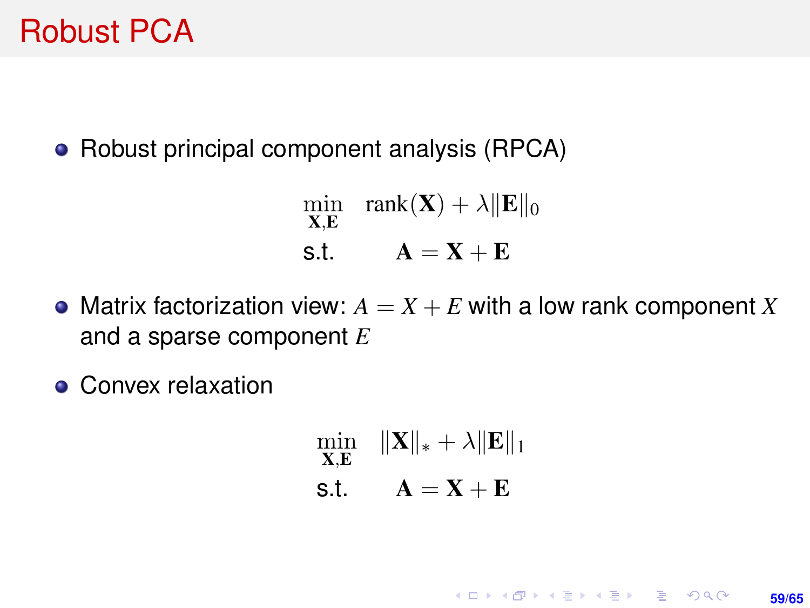#### Robust PCA

• Robust principal component analysis (RPCA)

min X,E rank $(\mathbf{X}) + \lambda \|\mathbf{E}\|_0$ s.t.  $A = X + E$ 

- Matrix factorization view:  $A = X + E$  with a low rank component X and a sparse component *E*
- Convex relaxation

min X,E  $\|\mathbf{X}\|_* + \lambda \|\mathbf{E}\|_1$ s.t.  $A = X + E$ 

**59/65**

**KORKARK KERKER DRAM**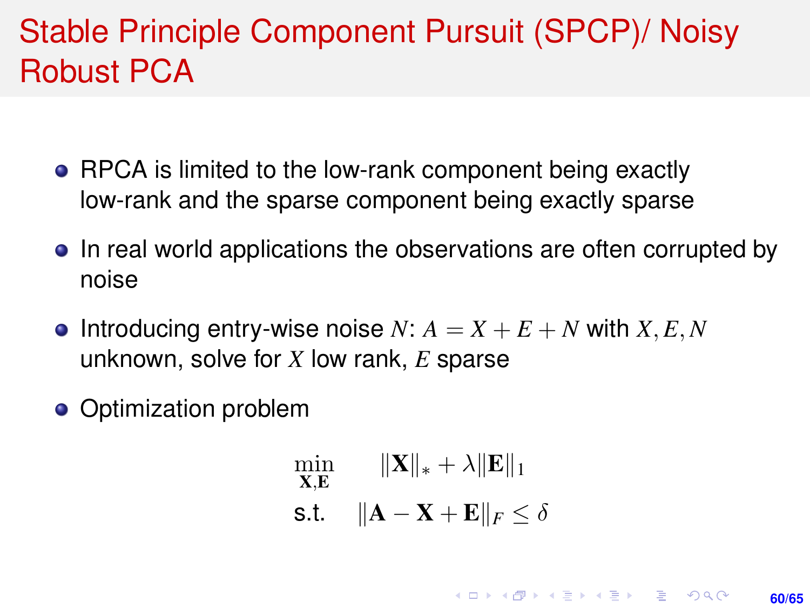## Stable Principle Component Pursuit (SPCP)/ Noisy Robust PCA

- RPCA is limited to the low-rank component being exactly low-rank and the sparse component being exactly sparse
- In real world applications the observations are often corrupted by noise
- **•** Introducing entry-wise noise *N*:  $A = X + E + N$  with *X*, *E*, *N* unknown, solve for *X* low rank, *E* sparse
- Optimization problem

$$
\min_{\mathbf{X}, \mathbf{E}} \quad \|\mathbf{X}\|_{*} + \lambda \|\mathbf{E}\|_{1}
$$
  
s.t. 
$$
\|\mathbf{A} - \mathbf{X} + \mathbf{E}\|_{F} \le \delta
$$

**KORKARK A BIK BIKA A GA A GA A GA A BIKA A BIKA A BIKA A BIKA A BIKA A BIKA A BIKA A BIKA A BIKA A BIKA A BIKA** 

**60/65**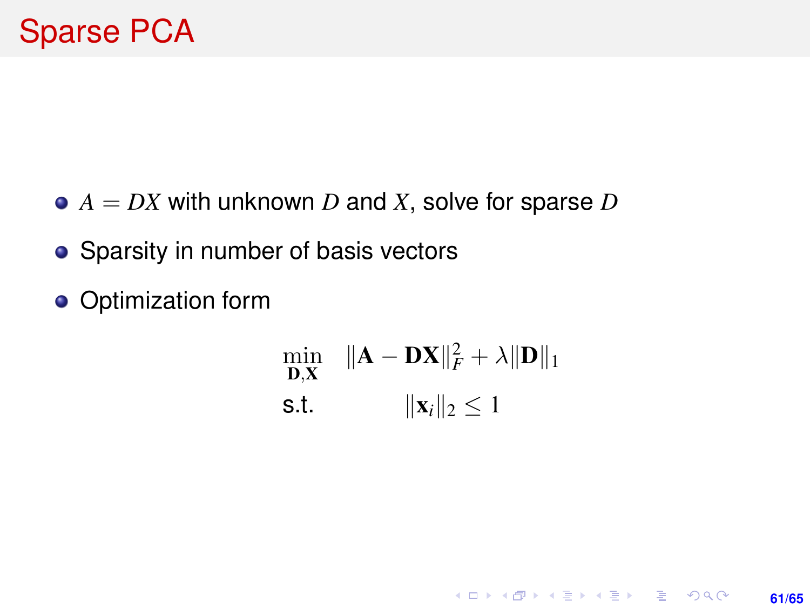- $\bullet$   $A = DX$  with unknown *D* and *X*, solve for sparse *D*
- Sparsity in number of basis vectors
- Optimization form

$$
\min_{\mathbf{D}, \mathbf{X}} \quad \|\mathbf{A} - \mathbf{D}\mathbf{X}\|_F^2 + \lambda \|\mathbf{D}\|_1
$$
  
s.t. 
$$
\|\mathbf{x}_i\|_2 \le 1
$$

**61/65**

KO KARK KEK LE KORA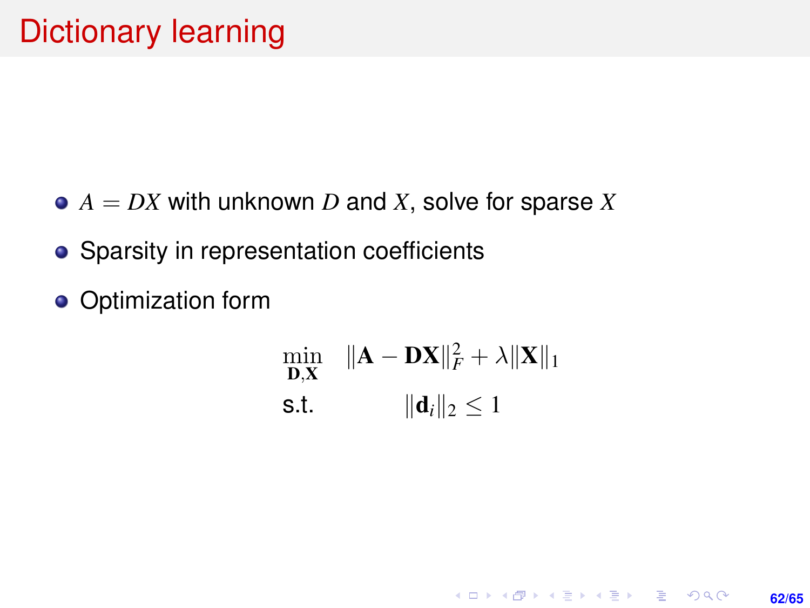- $\bullet$   $A = DX$  with unknown *D* and *X*, solve for sparse *X*
- Sparsity in representation coefficients
- **o** Optimization form

$$
\min_{\mathbf{D}, \mathbf{X}} \quad \|\mathbf{A} - \mathbf{D}\mathbf{X}\|_F^2 + \lambda \|\mathbf{X}\|_1
$$
  
s.t. 
$$
\|\mathbf{d}_i\|_2 \le 1
$$

**62/65**

KO KARK KEK LE KORA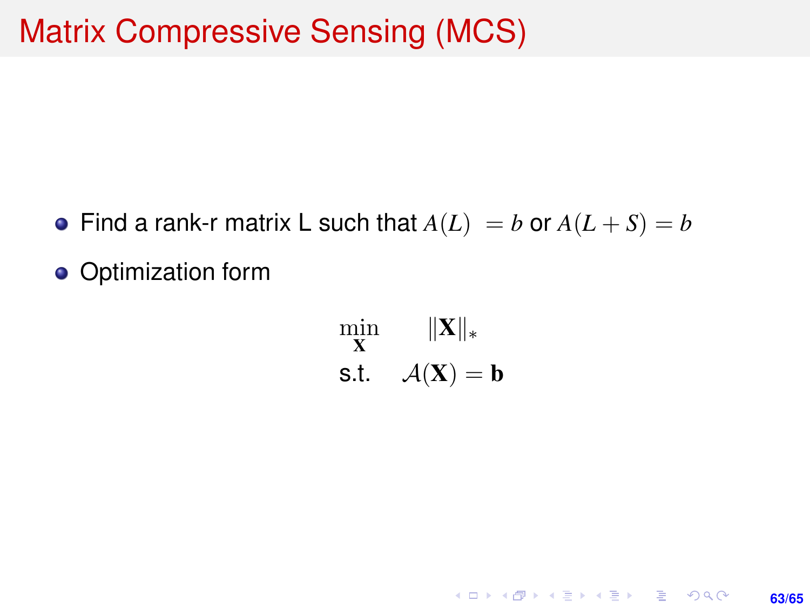- Find a rank-r matrix L such that  $A(L) = b$  or  $A(L+S) = b$
- Optimization form

min X  $\|\mathbf{X}\|_*$ s.t.  $\mathcal{A}(\mathbf{X}) = \mathbf{b}$ 

> K ロ ▶ K @ ▶ K 할 ▶ K 할 ▶ ... 할 → 9 Q @ **63/65**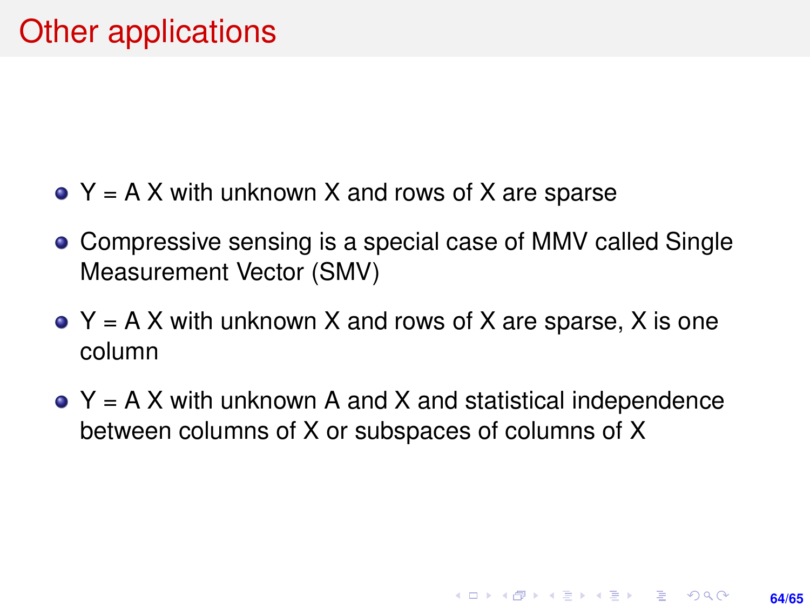- $\bullet$  Y = A X with unknown X and rows of X are sparse
- Compressive sensing is a special case of MMV called Single Measurement Vector (SMV)
- $\bullet$  Y = A X with unknown X and rows of X are sparse, X is one column
- $\bullet$  Y = A X with unknown A and X and statistical independence between columns of X or subspaces of columns of X

**64/65**

**KORKARK A BIK BIKA A GA A GA A GA A BIKA A BIKA A BIKA A BIKA A BIKA A BIKA A BIKA A BIKA A BIKA A BIKA A BIKA**